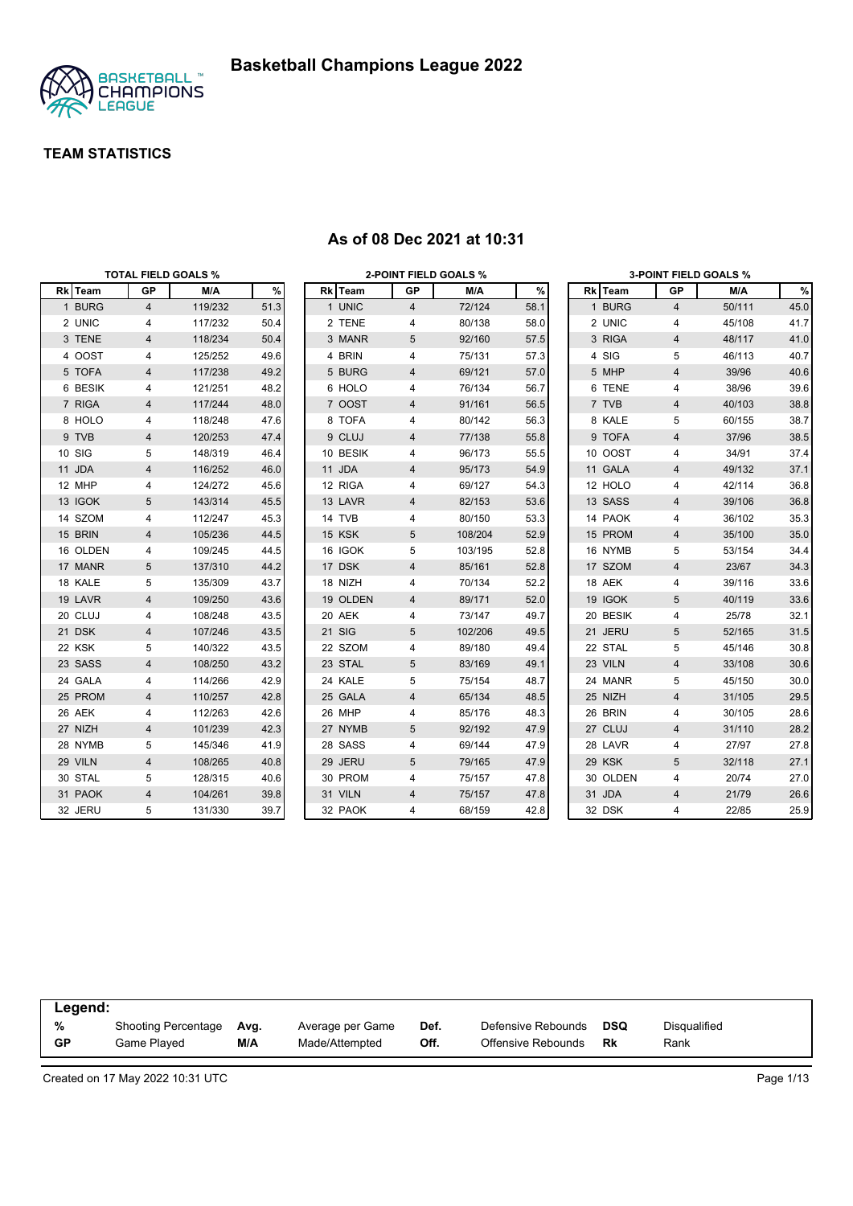

|          | <b>TOTAL FIELD GOALS %</b> |         |      |          |                | <b>2-POINT FIELD GOALS %</b> |      |          |                         | <b>3-POINT FIELD GOALS %</b> |      |
|----------|----------------------------|---------|------|----------|----------------|------------------------------|------|----------|-------------------------|------------------------------|------|
| Rk Team  | GP                         | M/A     | %    | Rk Team  | GP             | M/A                          | $\%$ | Rk Team  | GP                      | M/A                          | %    |
| 1 BURG   | $\overline{4}$             | 119/232 | 51.3 | 1 UNIC   | $\overline{4}$ | 72/124                       | 58.1 | 1 BURG   | $\overline{4}$          | 50/111                       | 45.0 |
| 2 UNIC   | 4                          | 117/232 | 50.4 | 2 TENE   | 4              | 80/138                       | 58.0 | 2 UNIC   | 4                       | 45/108                       | 41.7 |
| 3 TENE   | 4                          | 118/234 | 50.4 | 3 MANR   | 5              | 92/160                       | 57.5 | 3 RIGA   | $\overline{4}$          | 48/117                       | 41.0 |
| 4 OOST   | 4                          | 125/252 | 49.6 | 4 BRIN   | 4              | 75/131                       | 57.3 | 4 SIG    | 5                       | 46/113                       | 40.7 |
| 5 TOFA   | 4                          | 117/238 | 49.2 | 5 BURG   | 4              | 69/121                       | 57.0 | 5 MHP    | $\overline{4}$          | 39/96                        | 40.6 |
| 6 BESIK  | 4                          | 121/251 | 48.2 | 6 HOLO   | 4              | 76/134                       | 56.7 | 6 TENE   | 4                       | 38/96                        | 39.6 |
| 7 RIGA   | 4                          | 117/244 | 48.0 | 7 OOST   | 4              | 91/161                       | 56.5 | 7 TVB    | 4                       | 40/103                       | 38.8 |
| 8 HOLO   | 4                          | 118/248 | 47.6 | 8 TOFA   | 4              | 80/142                       | 56.3 | 8 KALE   | 5                       | 60/155                       | 38.7 |
| 9 TVB    | $\overline{4}$             | 120/253 | 47.4 | 9 CLUJ   | 4              | 77/138                       | 55.8 | 9 TOFA   | $\overline{4}$          | 37/96                        | 38.5 |
| 10 SIG   | 5                          | 148/319 | 46.4 | 10 BESIK | 4              | 96/173                       | 55.5 | 10 OOST  | 4                       | 34/91                        | 37.4 |
| 11 JDA   | 4                          | 116/252 | 46.0 | 11 JDA   | 4              | 95/173                       | 54.9 | 11 GALA  | $\overline{4}$          | 49/132                       | 37.1 |
| 12 MHP   | 4                          | 124/272 | 45.6 | 12 RIGA  | 4              | 69/127                       | 54.3 | 12 HOLO  | 4                       | 42/114                       | 36.8 |
| 13 IGOK  | 5                          | 143/314 | 45.5 | 13 LAVR  | 4              | 82/153                       | 53.6 | 13 SASS  | 4                       | 39/106                       | 36.8 |
| 14 SZOM  | 4                          | 112/247 | 45.3 | 14 TVB   | 4              | 80/150                       | 53.3 | 14 PAOK  | 4                       | 36/102                       | 35.3 |
| 15 BRIN  | 4                          | 105/236 | 44.5 | 15 KSK   | 5              | 108/204                      | 52.9 | 15 PROM  | 4                       | 35/100                       | 35.0 |
| 16 OLDEN | 4                          | 109/245 | 44.5 | 16 IGOK  | 5              | 103/195                      | 52.8 | 16 NYMB  | 5                       | 53/154                       | 34.4 |
| 17 MANR  | 5                          | 137/310 | 44.2 | 17 DSK   | 4              | 85/161                       | 52.8 | 17 SZOM  | 4                       | 23/67                        | 34.3 |
| 18 KALE  | 5                          | 135/309 | 43.7 | 18 NIZH  | 4              | 70/134                       | 52.2 | 18 AEK   | 4                       | 39/116                       | 33.6 |
| 19 LAVR  | $\overline{4}$             | 109/250 | 43.6 | 19 OLDEN | 4              | 89/171                       | 52.0 | 19 IGOK  | 5                       | 40/119                       | 33.6 |
| 20 CLUJ  | 4                          | 108/248 | 43.5 | 20 AEK   | 4              | 73/147                       | 49.7 | 20 BESIK | 4                       | 25/78                        | 32.1 |
| 21 DSK   | 4                          | 107/246 | 43.5 | 21 SIG   | 5              | 102/206                      | 49.5 | 21 JERU  | 5                       | 52/165                       | 31.5 |
| 22 KSK   | 5                          | 140/322 | 43.5 | 22 SZOM  | 4              | 89/180                       | 49.4 | 22 STAL  | 5                       | 45/146                       | 30.8 |
| 23 SASS  | 4                          | 108/250 | 43.2 | 23 STAL  | 5              | 83/169                       | 49.1 | 23 VILN  | $\overline{\mathbf{4}}$ | 33/108                       | 30.6 |
| 24 GALA  | 4                          | 114/266 | 42.9 | 24 KALE  | 5              | 75/154                       | 48.7 | 24 MANR  | 5                       | 45/150                       | 30.0 |
| 25 PROM  | 4                          | 110/257 | 42.8 | 25 GALA  | 4              | 65/134                       | 48.5 | 25 NIZH  | $\overline{4}$          | 31/105                       | 29.5 |
| 26 AEK   | 4                          | 112/263 | 42.6 | 26 MHP   | 4              | 85/176                       | 48.3 | 26 BRIN  | 4                       | 30/105                       | 28.6 |
| 27 NIZH  | 4                          | 101/239 | 42.3 | 27 NYMB  | 5              | 92/192                       | 47.9 | 27 CLUJ  | $\overline{4}$          | 31/110                       | 28.2 |
| 28 NYMB  | 5                          | 145/346 | 41.9 | 28 SASS  | 4              | 69/144                       | 47.9 | 28 LAVR  | 4                       | 27/97                        | 27.8 |
| 29 VILN  | 4                          | 108/265 | 40.8 | 29 JERU  | 5              | 79/165                       | 47.9 | 29 KSK   | 5                       | 32/118                       | 27.1 |
| 30 STAL  | 5                          | 128/315 | 40.6 | 30 PROM  | 4              | 75/157                       | 47.8 | 30 OLDEN | 4                       | 20/74                        | 27.0 |
| 31 PAOK  | $\overline{4}$             | 104/261 | 39.8 | 31 VILN  | 4              | 75/157                       | 47.8 | 31 JDA   | 4                       | 21/79                        | 26.6 |
| 32 JERU  | 5                          | 131/330 | 39.7 | 32 PAOK  | 4              | 68/159                       | 42.8 | 32 DSK   | 4                       | 22/85                        | 25.9 |

#### **As of 08 Dec 2021 at 10:31**

| Legend:   |                     |      |                  |      |                    |     |                     |  |
|-----------|---------------------|------|------------------|------|--------------------|-----|---------------------|--|
| %         | Shooting Percentage | Avg. | Average per Game | Def. | Defensive Rebounds | DSQ | <b>Disqualified</b> |  |
| <b>GP</b> | Game Plaved         | M/A  | Made/Attempted   | Off. | Offensive Rebounds | Rk  | Rank                |  |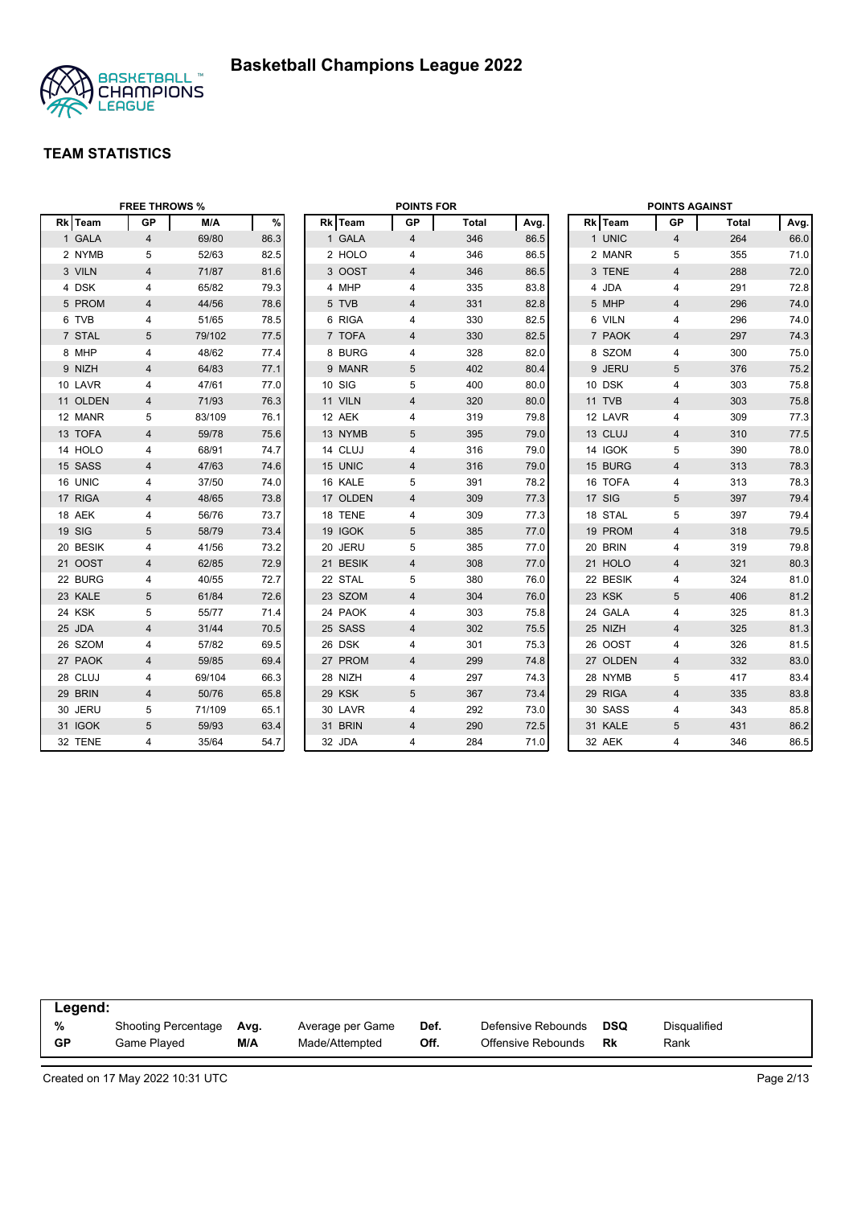

|          | <b>FREE THROWS %</b> |        |      |          | <b>POINTS FOR</b>       |              |      |          | <b>POINTS AGAINST</b>   |              |      |
|----------|----------------------|--------|------|----------|-------------------------|--------------|------|----------|-------------------------|--------------|------|
| Rk Team  | <b>GP</b>            | M/A    | $\%$ | Rk Team  | <b>GP</b>               | <b>Total</b> | Avg. | Rk Team  | GP                      | <b>Total</b> | Avg. |
| 1 GALA   | 4                    | 69/80  | 86.3 | 1 GALA   | $\overline{4}$          | 346          | 86.5 | 1 UNIC   | $\overline{4}$          | 264          | 66.0 |
| 2 NYMB   | 5                    | 52/63  | 82.5 | 2 HOLO   | 4                       | 346          | 86.5 | 2 MANR   | 5                       | 355          | 71.0 |
| 3 VILN   | $\overline{4}$       | 71/87  | 81.6 | 3 OOST   | $\overline{4}$          | 346          | 86.5 | 3 TENE   | $\overline{4}$          | 288          | 72.0 |
| 4 DSK    | 4                    | 65/82  | 79.3 | 4 MHP    | 4                       | 335          | 83.8 | 4 JDA    | 4                       | 291          | 72.8 |
| 5 PROM   | 4                    | 44/56  | 78.6 | 5 TVB    | 4                       | 331          | 82.8 | 5 MHP    | 4                       | 296          | 74.0 |
| 6 TVB    | 4                    | 51/65  | 78.5 | 6 RIGA   | 4                       | 330          | 82.5 | 6 VILN   | 4                       | 296          | 74.0 |
| 7 STAL   | 5                    | 79/102 | 77.5 | 7 TOFA   | $\overline{4}$          | 330          | 82.5 | 7 PAOK   | $\overline{4}$          | 297          | 74.3 |
| 8 MHP    | 4                    | 48/62  | 77.4 | 8 BURG   | 4                       | 328          | 82.0 | 8 SZOM   | 4                       | 300          | 75.0 |
| 9 NIZH   | 4                    | 64/83  | 77.1 | 9 MANR   | 5                       | 402          | 80.4 | 9 JERU   | 5                       | 376          | 75.2 |
| 10 LAVR  | 4                    | 47/61  | 77.0 | 10 SIG   | 5                       | 400          | 80.0 | 10 DSK   | 4                       | 303          | 75.8 |
| 11 OLDEN | 4                    | 71/93  | 76.3 | 11 VILN  | $\overline{\mathbf{4}}$ | 320          | 80.0 | 11 TVB   | $\overline{\mathbf{4}}$ | 303          | 75.8 |
| 12 MANR  | 5                    | 83/109 | 76.1 | 12 AEK   | 4                       | 319          | 79.8 | 12 LAVR  | 4                       | 309          | 77.3 |
| 13 TOFA  | $\overline{4}$       | 59/78  | 75.6 | 13 NYMB  | 5                       | 395          | 79.0 | 13 CLUJ  | $\overline{4}$          | 310          | 77.5 |
| 14 HOLO  | 4                    | 68/91  | 74.7 | 14 CLUJ  | $\overline{4}$          | 316          | 79.0 | 14 IGOK  | 5                       | 390          | 78.0 |
| 15 SASS  | 4                    | 47/63  | 74.6 | 15 UNIC  | 4                       | 316          | 79.0 | 15 BURG  | $\overline{\mathbf{4}}$ | 313          | 78.3 |
| 16 UNIC  | 4                    | 37/50  | 74.0 | 16 KALE  | 5                       | 391          | 78.2 | 16 TOFA  | 4                       | 313          | 78.3 |
| 17 RIGA  | 4                    | 48/65  | 73.8 | 17 OLDEN | 4                       | 309          | 77.3 | 17 SIG   | 5                       | 397          | 79.4 |
| 18 AEK   | 4                    | 56/76  | 73.7 | 18 TENE  | 4                       | 309          | 77.3 | 18 STAL  | 5                       | 397          | 79.4 |
| 19 SIG   | 5                    | 58/79  | 73.4 | 19 IGOK  | 5                       | 385          | 77.0 | 19 PROM  | $\overline{4}$          | 318          | 79.5 |
| 20 BESIK | 4                    | 41/56  | 73.2 | 20 JERU  | 5                       | 385          | 77.0 | 20 BRIN  | 4                       | 319          | 79.8 |
| 21 OOST  | $\overline{4}$       | 62/85  | 72.9 | 21 BESIK | $\overline{4}$          | 308          | 77.0 | 21 HOLO  | $\overline{4}$          | 321          | 80.3 |
| 22 BURG  | 4                    | 40/55  | 72.7 | 22 STAL  | 5                       | 380          | 76.0 | 22 BESIK | 4                       | 324          | 81.0 |
| 23 KALE  | $5\phantom{.0}$      | 61/84  | 72.6 | 23 SZOM  | 4                       | 304          | 76.0 | 23 KSK   | 5                       | 406          | 81.2 |
| 24 KSK   | 5                    | 55/77  | 71.4 | 24 PAOK  | 4                       | 303          | 75.8 | 24 GALA  | 4                       | 325          | 81.3 |
| 25 JDA   | 4                    | 31/44  | 70.5 | 25 SASS  | 4                       | 302          | 75.5 | 25 NIZH  | 4                       | 325          | 81.3 |
| 26 SZOM  | 4                    | 57/82  | 69.5 | 26 DSK   | 4                       | 301          | 75.3 | 26 OOST  | 4                       | 326          | 81.5 |
| 27 PAOK  | $\overline{4}$       | 59/85  | 69.4 | 27 PROM  | $\overline{4}$          | 299          | 74.8 | 27 OLDEN | $\overline{\mathbf{4}}$ | 332          | 83.0 |
| 28 CLUJ  | 4                    | 69/104 | 66.3 | 28 NIZH  | 4                       | 297          | 74.3 | 28 NYMB  | 5                       | 417          | 83.4 |
| 29 BRIN  | 4                    | 50/76  | 65.8 | 29 KSK   | 5                       | 367          | 73.4 | 29 RIGA  | $\overline{4}$          | 335          | 83.8 |
| 30 JERU  | 5                    | 71/109 | 65.1 | 30 LAVR  | 4                       | 292          | 73.0 | 30 SASS  | 4                       | 343          | 85.8 |
| 31 IGOK  | 5                    | 59/93  | 63.4 | 31 BRIN  | 4                       | 290          | 72.5 | 31 KALE  | 5                       | 431          | 86.2 |
| 32 TENE  | 4                    | 35/64  | 54.7 | 32 JDA   | 4                       | 284          | 71.0 | 32 AEK   | 4                       | 346          | 86.5 |

| Legend:   |                     |      |                  |      |                    |            |              |
|-----------|---------------------|------|------------------|------|--------------------|------------|--------------|
| %         | Shooting Percentage | Avg. | Average per Game | Def. | Defensive Rebounds | <b>DSQ</b> | Disgualified |
| <b>GP</b> | Game Played         | M/A  | Made/Attempted   | Off. | Offensive Rebounds | Rk         | Rank         |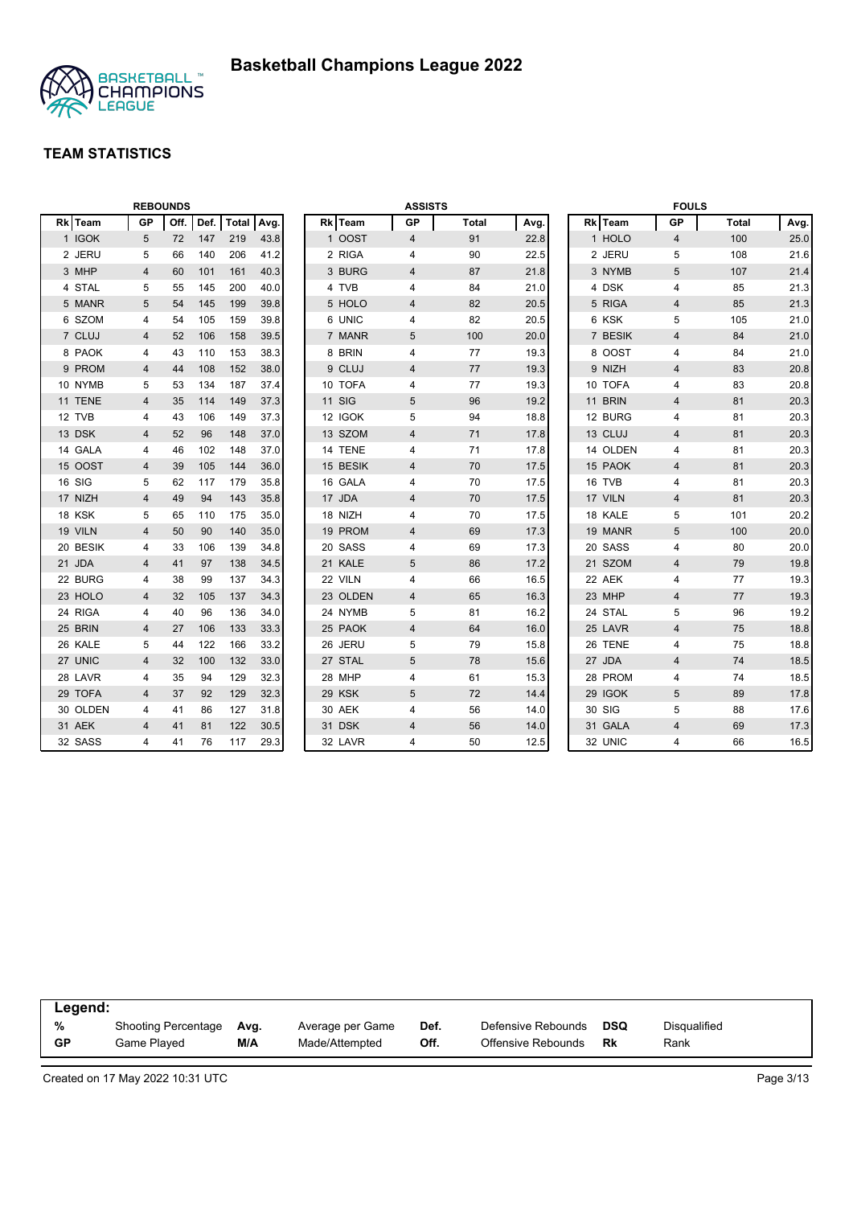

|        |          |                | <b>REBOUNDS</b> |      |       |      |               | <b>ASSISTS</b>          |              |      |          | <b>FOULS</b>   |              |      |
|--------|----------|----------------|-----------------|------|-------|------|---------------|-------------------------|--------------|------|----------|----------------|--------------|------|
|        | Rk Team  | <b>GP</b>      | Off.            | Def. | Total | Avg. | Rk Team       | <b>GP</b>               | <b>Total</b> | Avg. | Rk Team  | <b>GP</b>      | <b>Total</b> | Avg. |
|        | 1 IGOK   | 5              | 72              | 147  | 219   | 43.8 | 1 OOST        | $\overline{4}$          | 91           | 22.8 | 1 HOLO   | $\overline{4}$ | 100          | 25.0 |
|        | 2 JERU   | 5              | 66              | 140  | 206   | 41.2 | 2 RIGA        | 4                       | 90           | 22.5 | 2 JERU   | 5              | 108          | 21.6 |
|        | 3 MHP    | 4              | 60              | 101  | 161   | 40.3 | 3 BURG        | 4                       | 87           | 21.8 | 3 NYMB   | 5              | 107          | 21.4 |
|        | 4 STAL   | 5              | 55              | 145  | 200   | 40.0 | 4 TVB         | 4                       | 84           | 21.0 | 4 DSK    | $\overline{4}$ | 85           | 21.3 |
|        | 5 MANR   | 5              | 54              | 145  | 199   | 39.8 | 5 HOLO        | 4                       | 82           | 20.5 | 5 RIGA   | 4              | 85           | 21.3 |
|        | 6 SZOM   | 4              | 54              | 105  | 159   | 39.8 | 6 UNIC        | 4                       | 82           | 20.5 | 6 KSK    | 5              | 105          | 21.0 |
|        | 7 CLUJ   | 4              | 52              | 106  | 158   | 39.5 | 7 MANR        | 5                       | 100          | 20.0 | 7 BESIK  | $\overline{4}$ | 84           | 21.0 |
|        | 8 PAOK   | 4              | 43              | 110  | 153   | 38.3 | 8 BRIN        | 4                       | 77           | 19.3 | 8 OOST   | 4              | 84           | 21.0 |
|        | 9 PROM   | 4              | 44              | 108  | 152   | 38.0 | 9 CLUJ        | 4                       | 77           | 19.3 | 9 NIZH   | 4              | 83           | 20.8 |
|        | 10 NYMB  | 5              | 53              | 134  | 187   | 37.4 | 10 TOFA       | 4                       | 77           | 19.3 | 10 TOFA  | 4              | 83           | 20.8 |
|        | 11 TENE  | 4              | 35              | 114  | 149   | 37.3 | <b>11 SIG</b> | 5                       | 96           | 19.2 | 11 BRIN  | $\overline{4}$ | 81           | 20.3 |
|        | 12 TVB   | 4              | 43              | 106  | 149   | 37.3 | 12 IGOK       | 5                       | 94           | 18.8 | 12 BURG  | 4              | 81           | 20.3 |
|        | 13 DSK   | 4              | 52              | 96   | 148   | 37.0 | 13 SZOM       | 4                       | 71           | 17.8 | 13 CLUJ  | 4              | 81           | 20.3 |
|        | 14 GALA  | 4              | 46              | 102  | 148   | 37.0 | 14 TENE       | 4                       | 71           | 17.8 | 14 OLDEN | 4              | 81           | 20.3 |
|        | 15 OOST  | 4              | 39              | 105  | 144   | 36.0 | 15 BESIK      | 4                       | 70           | 17.5 | 15 PAOK  | 4              | 81           | 20.3 |
| 16 SIG |          | 5              | 62              | 117  | 179   | 35.8 | 16 GALA       | 4                       | 70           | 17.5 | 16 TVB   | $\overline{4}$ | 81           | 20.3 |
|        | 17 NIZH  | $\overline{4}$ | 49              | 94   | 143   | 35.8 | 17 JDA        | 4                       | 70           | 17.5 | 17 VILN  | $\overline{4}$ | 81           | 20.3 |
|        | 18 KSK   | 5              | 65              | 110  | 175   | 35.0 | 18 NIZH       | 4                       | 70           | 17.5 | 18 KALE  | 5              | 101          | 20.2 |
|        | 19 VILN  | 4              | 50              | 90   | 140   | 35.0 | 19 PROM       | 4                       | 69           | 17.3 | 19 MANR  | 5              | 100          | 20.0 |
|        | 20 BESIK | 4              | 33              | 106  | 139   | 34.8 | 20 SASS       | 4                       | 69           | 17.3 | 20 SASS  | 4              | 80           | 20.0 |
|        | 21 JDA   | 4              | 41              | 97   | 138   | 34.5 | 21 KALE       | 5                       | 86           | 17.2 | 21 SZOM  | 4              | 79           | 19.8 |
|        | 22 BURG  | 4              | 38              | 99   | 137   | 34.3 | 22 VILN       | 4                       | 66           | 16.5 | 22 AEK   | $\overline{4}$ | 77           | 19.3 |
|        | 23 HOLO  | 4              | 32              | 105  | 137   | 34.3 | 23 OLDEN      | 4                       | 65           | 16.3 | 23 MHP   | $\overline{4}$ | 77           | 19.3 |
|        | 24 RIGA  | 4              | 40              | 96   | 136   | 34.0 | 24 NYMB       | 5                       | 81           | 16.2 | 24 STAL  | 5              | 96           | 19.2 |
|        | 25 BRIN  | 4              | 27              | 106  | 133   | 33.3 | 25 PAOK       | $\overline{\mathbf{4}}$ | 64           | 16.0 | 25 LAVR  | $\overline{4}$ | 75           | 18.8 |
|        | 26 KALE  | 5              | 44              | 122  | 166   | 33.2 | 26 JERU       | 5                       | 79           | 15.8 | 26 TENE  | 4              | 75           | 18.8 |
|        | 27 UNIC  | 4              | 32              | 100  | 132   | 33.0 | 27 STAL       | 5                       | 78           | 15.6 | 27 JDA   | $\overline{4}$ | 74           | 18.5 |
|        | 28 LAVR  | 4              | 35              | 94   | 129   | 32.3 | 28 MHP        | 4                       | 61           | 15.3 | 28 PROM  | 4              | 74           | 18.5 |
|        | 29 TOFA  | 4              | 37              | 92   | 129   | 32.3 | 29 KSK        | 5                       | 72           | 14.4 | 29 IGOK  | 5              | 89           | 17.8 |
|        | 30 OLDEN | 4              | 41              | 86   | 127   | 31.8 | 30 AEK        | 4                       | 56           | 14.0 | 30 SIG   | 5              | 88           | 17.6 |
|        | 31 AEK   | 4              | 41              | 81   | 122   | 30.5 | 31 DSK        | 4                       | 56           | 14.0 | 31 GALA  | $\overline{4}$ | 69           | 17.3 |
|        | 32 SASS  | 4              | 41              | 76   | 117   | 29.3 | 32 LAVR       | 4                       | 50           | 12.5 | 32 UNIC  | $\overline{4}$ | 66           | 16.5 |

| Legend:   |                     |      |                  |      |                    |            |              |
|-----------|---------------------|------|------------------|------|--------------------|------------|--------------|
| %         | Shooting Percentage | Avg. | Average per Game | Def. | Defensive Rebounds | <b>DSQ</b> | Disgualified |
| <b>GP</b> | Game Plaved         | M/A  | Made/Attempted   | Off. | Offensive Rebounds | Rk         | Rank         |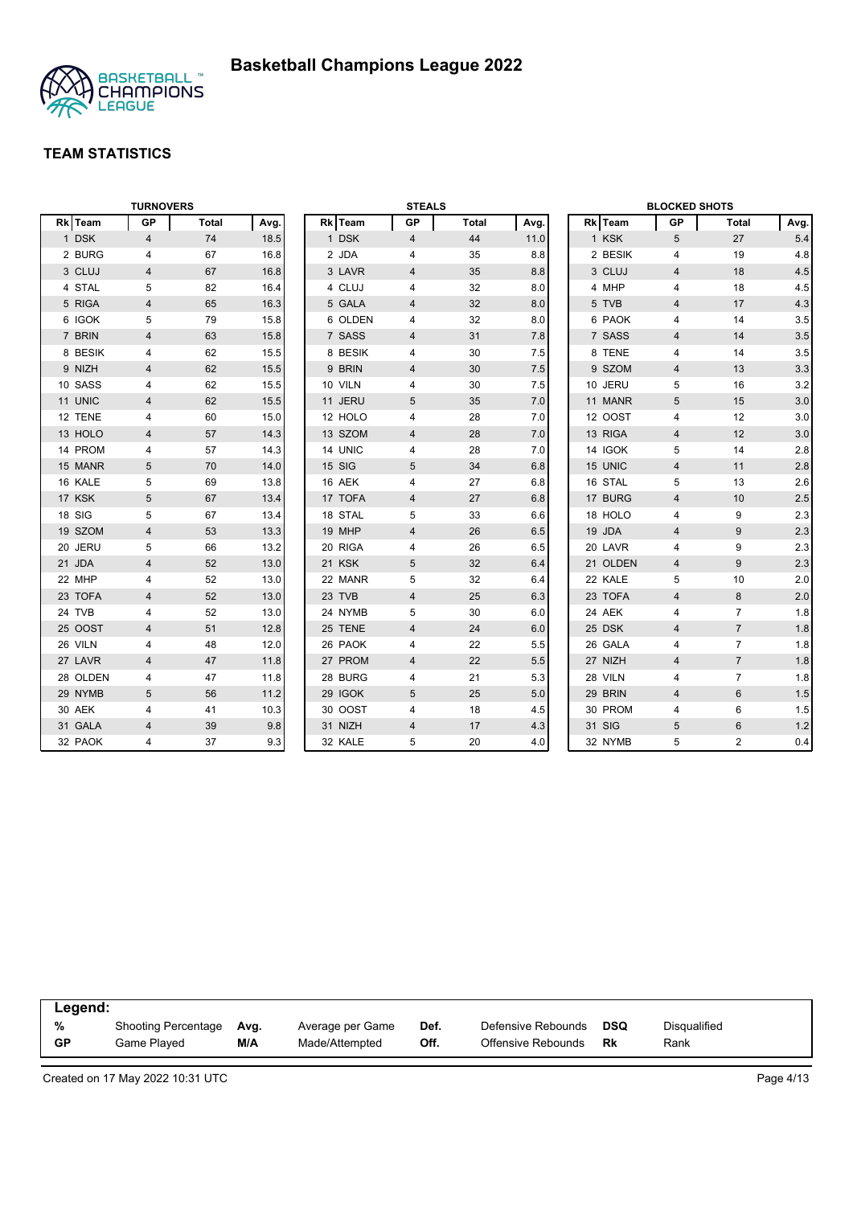

|          | <b>TURNOVERS</b> |              |      |         | <b>STEALS</b>  |              |      |          | <b>BLOCKED SHOTS</b> |                |         |
|----------|------------------|--------------|------|---------|----------------|--------------|------|----------|----------------------|----------------|---------|
| Rk Team  | <b>GP</b>        | <b>Total</b> | Avg. | Rk Team | GP             | <b>Total</b> | Avg. | Rk Team  | GP                   | Total          | Avg.    |
| 1 DSK    | $\overline{4}$   | 74           | 18.5 | 1 DSK   | $\overline{4}$ | 44           | 11.0 | 1 KSK    | 5                    | 27             | 5.4     |
| 2 BURG   | 4                | 67           | 16.8 | 2 JDA   | 4              | 35           | 8.8  | 2 BESIK  | 4                    | 19             | 4.8     |
| 3 CLUJ   | 4                | 67           | 16.8 | 3 LAVR  | 4              | 35           | 8.8  | 3 CLUJ   | $\overline{4}$       | 18             | 4.5     |
| 4 STAL   | 5                | 82           | 16.4 | 4 CLUJ  | 4              | 32           | 8.0  | 4 MHP    | 4                    | 18             | 4.5     |
| 5 RIGA   | 4                | 65           | 16.3 | 5 GALA  | 4              | 32           | 8.0  | 5 TVB    | 4                    | 17             | 4.3     |
| 6 IGOK   | 5                | 79           | 15.8 | 6 OLDEN | 4              | 32           | 8.0  | 6 PAOK   | $\overline{4}$       | 14             | 3.5     |
| 7 BRIN   | 4                | 63           | 15.8 | 7 SASS  | 4              | 31           | 7.8  | 7 SASS   | $\overline{4}$       | 14             | 3.5     |
| 8 BESIK  | 4                | 62           | 15.5 | 8 BESIK | 4              | 30           | 7.5  | 8 TENE   | 4                    | 14             | 3.5     |
| 9 NIZH   | 4                | 62           | 15.5 | 9 BRIN  | 4              | 30           | 7.5  | 9 SZOM   | 4                    | 13             | 3.3     |
| 10 SASS  | 4                | 62           | 15.5 | 10 VILN | 4              | 30           | 7.5  | 10 JERU  | 5                    | 16             | 3.2     |
| 11 UNIC  | 4                | 62           | 15.5 | 11 JERU | 5              | 35           | 7.0  | 11 MANR  | 5                    | 15             | 3.0     |
| 12 TENE  | 4                | 60           | 15.0 | 12 HOLO | 4              | 28           | 7.0  | 12 OOST  | 4                    | 12             | 3.0     |
| 13 HOLO  | $\overline{4}$   | 57           | 14.3 | 13 SZOM | 4              | 28           | 7.0  | 13 RIGA  | $\overline{4}$       | 12             | 3.0     |
| 14 PROM  | 4                | 57           | 14.3 | 14 UNIC | 4              | 28           | 7.0  | 14 IGOK  | 5                    | 14             | 2.8     |
| 15 MANR  | 5                | 70           | 14.0 | 15 SIG  | 5              | 34           | 6.8  | 15 UNIC  | $\overline{4}$       | 11             | $2.8\,$ |
| 16 KALE  | 5                | 69           | 13.8 | 16 AEK  | 4              | 27           | 6.8  | 16 STAL  | 5                    | 13             | 2.6     |
| 17 KSK   | 5                | 67           | 13.4 | 17 TOFA | $\overline{4}$ | 27           | 6.8  | 17 BURG  | $\overline{4}$       | 10             | 2.5     |
| 18 SIG   | 5                | 67           | 13.4 | 18 STAL | 5              | 33           | 6.6  | 18 HOLO  | $\overline{4}$       | 9              | 2.3     |
| 19 SZOM  | 4                | 53           | 13.3 | 19 MHP  | 4              | 26           | 6.5  | 19 JDA   | $\overline{4}$       | 9              | 2.3     |
| 20 JERU  | 5                | 66           | 13.2 | 20 RIGA | 4              | 26           | 6.5  | 20 LAVR  | 4                    | 9              | 2.3     |
| 21 JDA   | 4                | 52           | 13.0 | 21 KSK  | 5              | 32           | 6.4  | 21 OLDEN | 4                    | 9              | 2.3     |
| 22 MHP   | 4                | 52           | 13.0 | 22 MANR | 5              | 32           | 6.4  | 22 KALE  | 5                    | 10             | 2.0     |
| 23 TOFA  | 4                | 52           | 13.0 | 23 TVB  | $\overline{4}$ | 25           | 6.3  | 23 TOFA  | $\overline{4}$       | 8              | 2.0     |
| 24 TVB   | 4                | 52           | 13.0 | 24 NYMB | 5              | 30           | 6.0  | 24 AEK   | 4                    | $\overline{7}$ | 1.8     |
| 25 OOST  | 4                | 51           | 12.8 | 25 TENE | 4              | 24           | 6.0  | 25 DSK   | $\overline{4}$       | $\overline{7}$ | 1.8     |
| 26 VILN  | 4                | 48           | 12.0 | 26 PAOK | 4              | 22           | 5.5  | 26 GALA  | $\overline{4}$       | $\overline{7}$ | 1.8     |
| 27 LAVR  | $\overline{4}$   | 47           | 11.8 | 27 PROM | $\overline{4}$ | 22           | 5.5  | 27 NIZH  | $\overline{4}$       | $\overline{7}$ | 1.8     |
| 28 OLDEN | 4                | 47           | 11.8 | 28 BURG | 4              | 21           | 5.3  | 28 VILN  | 4                    | $\overline{7}$ | 1.8     |
| 29 NYMB  | 5                | 56           | 11.2 | 29 IGOK | 5              | 25           | 5.0  | 29 BRIN  | $\overline{4}$       | 6              | 1.5     |
| 30 AEK   | 4                | 41           | 10.3 | 30 OOST | 4              | 18           | 4.5  | 30 PROM  | 4                    | 6              | 1.5     |
| 31 GALA  | $\overline{4}$   | 39           | 9.8  | 31 NIZH | $\overline{4}$ | 17           | 4.3  | 31 SIG   | 5                    | 6              | 1.2     |
| 32 PAOK  | 4                | 37           | 9.3  | 32 KALE | 5              | 20           | 4.0  | 32 NYMB  | 5                    | $\overline{2}$ | 0.4     |

| Legend:   |                            |      |                  |      |                    |     |              |  |
|-----------|----------------------------|------|------------------|------|--------------------|-----|--------------|--|
| %         | <b>Shooting Percentage</b> | Avg. | Average per Game | Def. | Defensive Rebounds | DSQ | Disgualified |  |
| <b>GP</b> | Game Played                | M/A  | Made/Attempted   | Off. | Offensive Rebounds | Rk  | Rank         |  |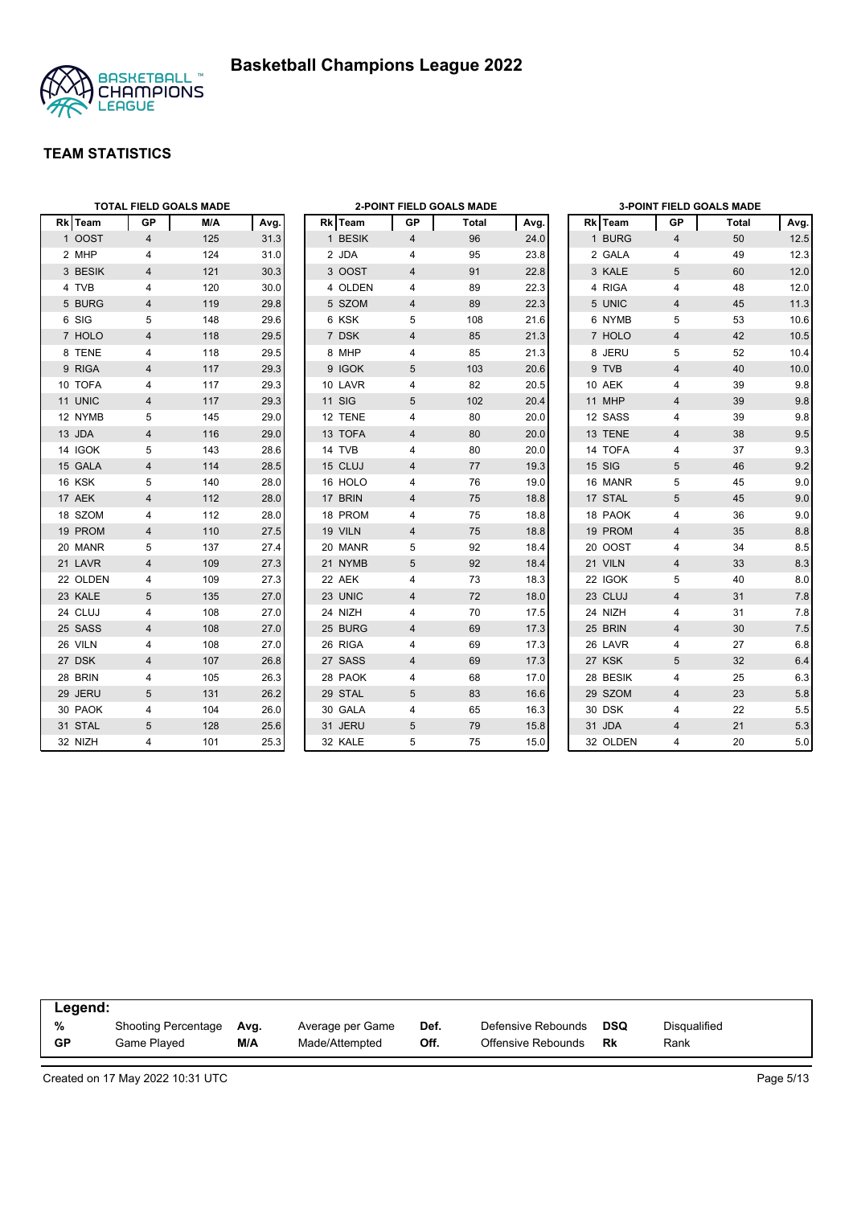



|          |                | <b>TOTAL FIELD GOALS MADE</b> |      |               |                | <b>2-POINT FIELD GOALS MADE</b> |      |          |                | <b>3-POINT FIELD GOALS MADE</b> |         |
|----------|----------------|-------------------------------|------|---------------|----------------|---------------------------------|------|----------|----------------|---------------------------------|---------|
| Rk Team  | <b>GP</b>      | M/A                           | Avg. | Rk Team       | GP             | Total                           | Avg. | Rk Team  | GР             | Total                           | Avg.    |
| 1 OOST   | $\overline{4}$ | 125                           | 31.3 | 1 BESIK       | 4              | 96                              | 24.0 | 1 BURG   | 4              | 50                              | 12.5    |
| 2 MHP    | 4              | 124                           | 31.0 | 2 JDA         | 4              | 95                              | 23.8 | 2 GALA   | 4              | 49                              | 12.3    |
| 3 BESIK  | $\overline{4}$ | 121                           | 30.3 | 3 OOST        | $\overline{4}$ | 91                              | 22.8 | 3 KALE   | 5              | 60                              | 12.0    |
| 4 TVB    | 4              | 120                           | 30.0 | 4 OLDEN       | 4              | 89                              | 22.3 | 4 RIGA   | 4              | 48                              | 12.0    |
| 5 BURG   | 4              | 119                           | 29.8 | 5 SZOM        | 4              | 89                              | 22.3 | 5 UNIC   | 4              | 45                              | 11.3    |
| 6 SIG    | 5              | 148                           | 29.6 | 6 KSK         | 5              | 108                             | 21.6 | 6 NYMB   | 5              | 53                              | 10.6    |
| 7 HOLO   | $\overline{4}$ | 118                           | 29.5 | 7 DSK         | $\overline{4}$ | 85                              | 21.3 | 7 HOLO   | $\overline{4}$ | 42                              | 10.5    |
| 8 TENE   | 4              | 118                           | 29.5 | 8 MHP         | 4              | 85                              | 21.3 | 8 JERU   | 5              | 52                              | 10.4    |
| 9 RIGA   | $\overline{4}$ | 117                           | 29.3 | 9 IGOK        | 5              | 103                             | 20.6 | 9 TVB    | $\overline{4}$ | 40                              | 10.0    |
| 10 TOFA  | 4              | 117                           | 29.3 | 10 LAVR       | 4              | 82                              | 20.5 | 10 AEK   | 4              | 39                              | 9.8     |
| 11 UNIC  | 4              | 117                           | 29.3 | <b>11 SIG</b> | 5              | 102                             | 20.4 | 11 MHP   | $\overline{4}$ | 39                              | $9.8\,$ |
| 12 NYMB  | 5              | 145                           | 29.0 | 12 TENE       | 4              | 80                              | 20.0 | 12 SASS  | $\overline{4}$ | 39                              | 9.8     |
| 13 JDA   | 4              | 116                           | 29.0 | 13 TOFA       | 4              | 80                              | 20.0 | 13 TENE  | $\overline{4}$ | 38                              | 9.5     |
| 14 IGOK  | 5              | 143                           | 28.6 | 14 TVB        | 4              | 80                              | 20.0 | 14 TOFA  | 4              | 37                              | 9.3     |
| 15 GALA  | 4              | 114                           | 28.5 | 15 CLUJ       | $\overline{4}$ | 77                              | 19.3 | 15 SIG   | 5              | 46                              | 9.2     |
| 16 KSK   | 5              | 140                           | 28.0 | 16 HOLO       | 4              | 76                              | 19.0 | 16 MANR  | 5              | 45                              | 9.0     |
| 17 AEK   | $\overline{4}$ | 112                           | 28.0 | 17 BRIN       | $\overline{4}$ | 75                              | 18.8 | 17 STAL  | 5              | 45                              | 9.0     |
| 18 SZOM  | 4              | 112                           | 28.0 | 18 PROM       | 4              | 75                              | 18.8 | 18 PAOK  | 4              | 36                              | 9.0     |
| 19 PROM  | 4              | 110                           | 27.5 | 19 VILN       | 4              | 75                              | 18.8 | 19 PROM  | $\overline{4}$ | 35                              | 8.8     |
| 20 MANR  | 5              | 137                           | 27.4 | 20 MANR       | 5              | 92                              | 18.4 | 20 OOST  | 4              | 34                              | 8.5     |
| 21 LAVR  | $\overline{4}$ | 109                           | 27.3 | 21 NYMB       | 5              | 92                              | 18.4 | 21 VILN  | $\overline{4}$ | 33                              | 8.3     |
| 22 OLDEN | 4              | 109                           | 27.3 | 22 AEK        | 4              | 73                              | 18.3 | 22 IGOK  | 5              | 40                              | 8.0     |
| 23 KALE  | 5              | 135                           | 27.0 | 23 UNIC       | 4              | 72                              | 18.0 | 23 CLUJ  | $\overline{4}$ | 31                              | 7.8     |
| 24 CLUJ  | 4              | 108                           | 27.0 | 24 NIZH       | 4              | 70                              | 17.5 | 24 NIZH  | 4              | 31                              | 7.8     |
| 25 SASS  | 4              | 108                           | 27.0 | 25 BURG       | 4              | 69                              | 17.3 | 25 BRIN  | 4              | 30                              | 7.5     |
| 26 VILN  | 4              | 108                           | 27.0 | 26 RIGA       | 4              | 69                              | 17.3 | 26 LAVR  | 4              | 27                              | 6.8     |
| 27 DSK   | $\overline{4}$ | 107                           | 26.8 | 27 SASS       | $\overline{4}$ | 69                              | 17.3 | 27 KSK   | 5              | 32                              | 6.4     |
| 28 BRIN  | 4              | 105                           | 26.3 | 28 PAOK       | 4              | 68                              | 17.0 | 28 BESIK | $\overline{4}$ | 25                              | 6.3     |
| 29 JERU  | 5              | 131                           | 26.2 | 29 STAL       | 5              | 83                              | 16.6 | 29 SZOM  | $\overline{4}$ | 23                              | 5.8     |
| 30 PAOK  | 4              | 104                           | 26.0 | 30 GALA       | 4              | 65                              | 16.3 | 30 DSK   | 4              | 22                              | 5.5     |
| 31 STAL  | 5              | 128                           | 25.6 | 31 JERU       | 5              | 79                              | 15.8 | 31 JDA   | $\overline{4}$ | 21                              | 5.3     |
| 32 NIZH  | $\overline{4}$ | 101                           | 25.3 | 32 KALE       | 5              | 75                              | 15.0 | 32 OLDEN | 4              | 20                              | 5.0     |

| Legend:   |                            |      |                  |      |                    |            |              |  |
|-----------|----------------------------|------|------------------|------|--------------------|------------|--------------|--|
| %         | <b>Shooting Percentage</b> | Avg. | Average per Game | Def. | Defensive Rebounds | <b>DSQ</b> | Disqualified |  |
| <b>GP</b> | Game Played                | M/A  | Made/Attempted   | Off. | Offensive Rebounds | Rk         | Rank         |  |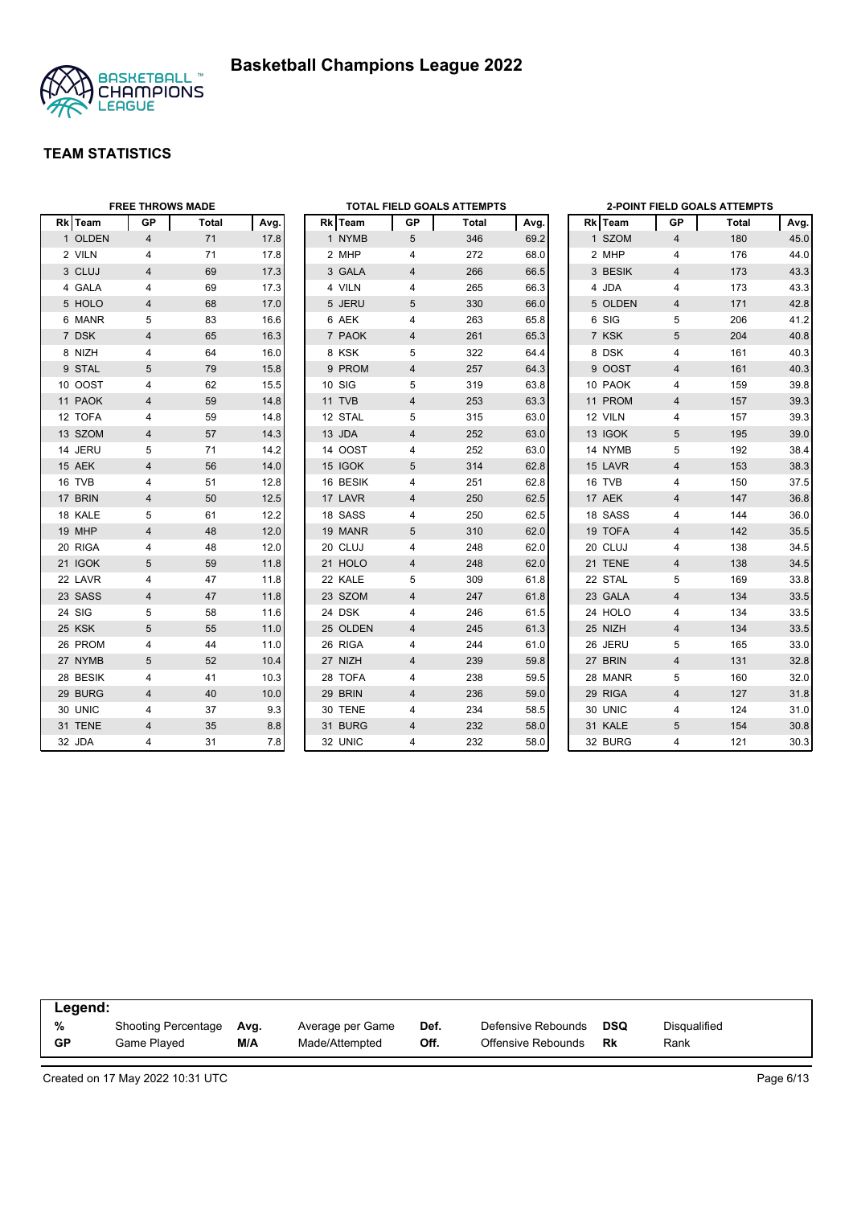



|          | <b>FREE THROWS MADE</b> |       |      |          |                | TOTAL FIELD GOALS ATTEMPTS |      |         |                | <b>2-POINT FIELD GOALS ATTEMPTS</b> |      |
|----------|-------------------------|-------|------|----------|----------------|----------------------------|------|---------|----------------|-------------------------------------|------|
| Rk Team  | GP                      | Total | Avg. | Rk Team  | GP             | Total                      | Avg. | Rk Team | GP             | Total                               | Avg. |
| 1 OLDEN  | $\overline{4}$          | 71    | 17.8 | 1 NYMB   | 5              | 346                        | 69.2 | 1 SZOM  | $\overline{4}$ | 180                                 | 45.0 |
| 2 VILN   | 4                       | 71    | 17.8 | 2 MHP    | 4              | 272                        | 68.0 | 2 MHP   | 4              | 176                                 | 44.0 |
| 3 CLUJ   | 4                       | 69    | 17.3 | 3 GALA   | 4              | 266                        | 66.5 | 3 BESIK | $\overline{4}$ | 173                                 | 43.3 |
| 4 GALA   | 4                       | 69    | 17.3 | 4 VILN   | 4              | 265                        | 66.3 | 4 JDA   | 4              | 173                                 | 43.3 |
| 5 HOLO   | 4                       | 68    | 17.0 | 5 JERU   | 5              | 330                        | 66.0 | 5 OLDEN | 4              | 171                                 | 42.8 |
| 6 MANR   | 5                       | 83    | 16.6 | 6 AEK    | 4              | 263                        | 65.8 | 6 SIG   | 5              | 206                                 | 41.2 |
| 7 DSK    | 4                       | 65    | 16.3 | 7 PAOK   | 4              | 261                        | 65.3 | 7 KSK   | 5              | 204                                 | 40.8 |
| 8 NIZH   | 4                       | 64    | 16.0 | 8 KSK    | 5              | 322                        | 64.4 | 8 DSK   | 4              | 161                                 | 40.3 |
| 9 STAL   | 5                       | 79    | 15.8 | 9 PROM   | 4              | 257                        | 64.3 | 9 OOST  | 4              | 161                                 | 40.3 |
| 10 OOST  | 4                       | 62    | 15.5 | 10 SIG   | 5              | 319                        | 63.8 | 10 PAOK | 4              | 159                                 | 39.8 |
| 11 PAOK  | 4                       | 59    | 14.8 | 11 TVB   | $\overline{4}$ | 253                        | 63.3 | 11 PROM | $\overline{4}$ | 157                                 | 39.3 |
| 12 TOFA  | 4                       | 59    | 14.8 | 12 STAL  | 5              | 315                        | 63.0 | 12 VILN | 4              | 157                                 | 39.3 |
| 13 SZOM  | 4                       | 57    | 14.3 | 13 JDA   | 4              | 252                        | 63.0 | 13 IGOK | 5              | 195                                 | 39.0 |
| 14 JERU  | 5                       | 71    | 14.2 | 14 OOST  | 4              | 252                        | 63.0 | 14 NYMB | 5              | 192                                 | 38.4 |
| 15 AEK   | 4                       | 56    | 14.0 | 15 IGOK  | 5              | 314                        | 62.8 | 15 LAVR | $\overline{4}$ | 153                                 | 38.3 |
| 16 TVB   | 4                       | 51    | 12.8 | 16 BESIK | 4              | 251                        | 62.8 | 16 TVB  | 4              | 150                                 | 37.5 |
| 17 BRIN  | 4                       | 50    | 12.5 | 17 LAVR  | 4              | 250                        | 62.5 | 17 AEK  | $\overline{4}$ | 147                                 | 36.8 |
| 18 KALE  | 5                       | 61    | 12.2 | 18 SASS  | 4              | 250                        | 62.5 | 18 SASS | 4              | 144                                 | 36.0 |
| 19 MHP   | 4                       | 48    | 12.0 | 19 MANR  | 5              | 310                        | 62.0 | 19 TOFA | 4              | 142                                 | 35.5 |
| 20 RIGA  | 4                       | 48    | 12.0 | 20 CLUJ  | 4              | 248                        | 62.0 | 20 CLUJ | 4              | 138                                 | 34.5 |
| 21 IGOK  | 5                       | 59    | 11.8 | 21 HOLO  | 4              | 248                        | 62.0 | 21 TENE | 4              | 138                                 | 34.5 |
| 22 LAVR  | 4                       | 47    | 11.8 | 22 KALE  | 5              | 309                        | 61.8 | 22 STAL | 5              | 169                                 | 33.8 |
| 23 SASS  | 4                       | 47    | 11.8 | 23 SZOM  | 4              | 247                        | 61.8 | 23 GALA | $\overline{4}$ | 134                                 | 33.5 |
| 24 SIG   | 5                       | 58    | 11.6 | 24 DSK   | 4              | 246                        | 61.5 | 24 HOLO | 4              | 134                                 | 33.5 |
| 25 KSK   | 5                       | 55    | 11.0 | 25 OLDEN | 4              | 245                        | 61.3 | 25 NIZH | 4              | 134                                 | 33.5 |
| 26 PROM  | 4                       | 44    | 11.0 | 26 RIGA  | 4              | 244                        | 61.0 | 26 JERU | 5              | 165                                 | 33.0 |
| 27 NYMB  | 5                       | 52    | 10.4 | 27 NIZH  | 4              | 239                        | 59.8 | 27 BRIN | $\overline{4}$ | 131                                 | 32.8 |
| 28 BESIK | 4                       | 41    | 10.3 | 28 TOFA  | 4              | 238                        | 59.5 | 28 MANR | 5              | 160                                 | 32.0 |
| 29 BURG  | 4                       | 40    | 10.0 | 29 BRIN  | 4              | 236                        | 59.0 | 29 RIGA | $\overline{4}$ | 127                                 | 31.8 |
| 30 UNIC  | 4                       | 37    | 9.3  | 30 TENE  | 4              | 234                        | 58.5 | 30 UNIC | 4              | 124                                 | 31.0 |
| 31 TENE  | 4                       | 35    | 8.8  | 31 BURG  | 4              | 232                        | 58.0 | 31 KALE | 5              | 154                                 | 30.8 |
| 32 JDA   | 4                       | 31    | 7.8  | 32 UNIC  | 4              | 232                        | 58.0 | 32 BURG | $\overline{4}$ | 121                                 | 30.3 |

| Legend: |                     |      |                  |      |                    |            |                     |  |
|---------|---------------------|------|------------------|------|--------------------|------------|---------------------|--|
| %       | Shooting Percentage | Avg. | Average per Game | Def. | Defensive Rebounds | <b>DSQ</b> | <b>Disqualified</b> |  |
| GP      | Game Plaved         | M/A  | Made/Attempted   | Off. | Offensive Rebounds | Rk         | Rank                |  |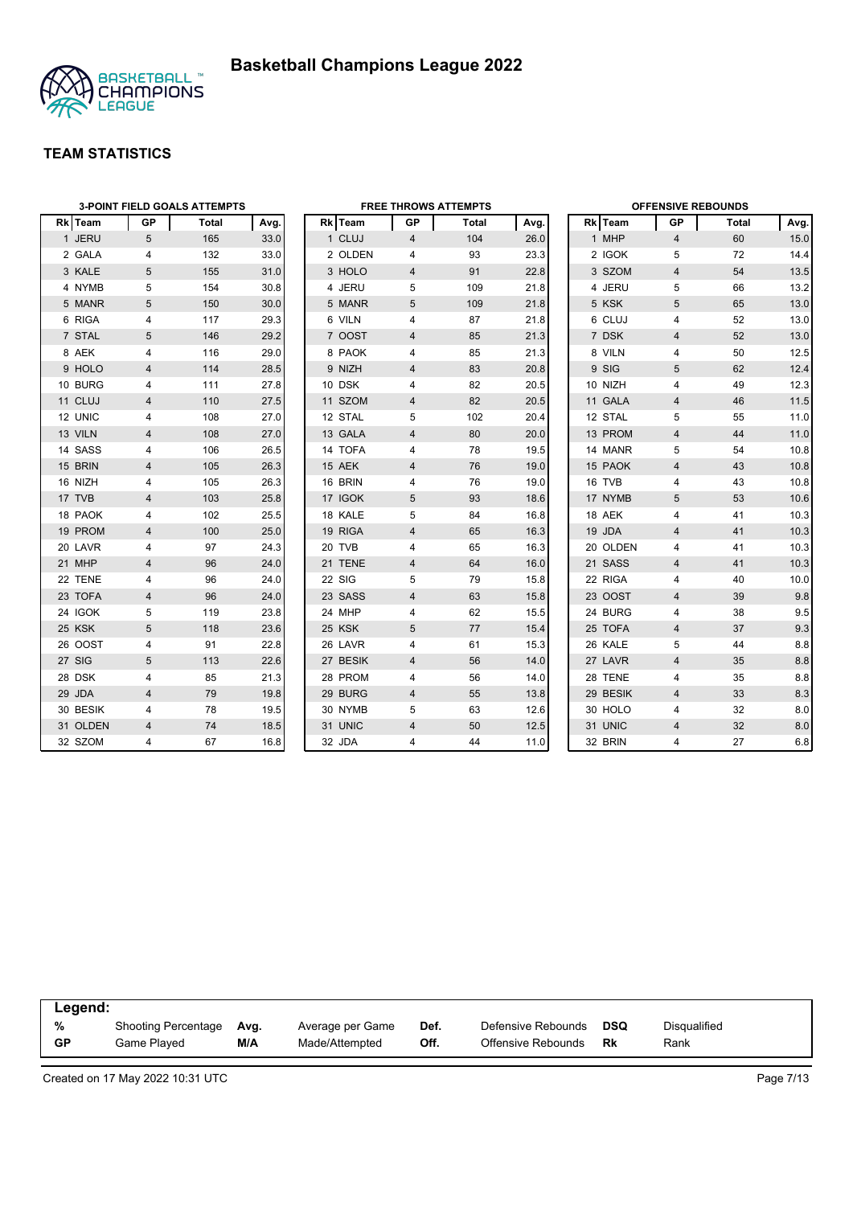

|                | <b>3-POINT FIELD GOALS ATTEMPTS</b> |       |      |  |          | <b>FREE THROWS ATTEMPTS</b> |       |      |  |          | <b>OFFENSIVE REBOUNDS</b> |       |        |  |  |
|----------------|-------------------------------------|-------|------|--|----------|-----------------------------|-------|------|--|----------|---------------------------|-------|--------|--|--|
| <b>Rk</b> Team | GP                                  | Total | Avg. |  | Rk Team  | GP                          | Total | Avg. |  | Rk Team  | GP.                       | Total | Avg.   |  |  |
| 1 JERU         | 5                                   | 165   | 33.0 |  | 1 CLUJ   | $\overline{4}$              | 104   | 26.0 |  | 1 MHP    | $\overline{4}$            | 60    | 15.0   |  |  |
| 2 GALA         | 4                                   | 132   | 33.0 |  | 2 OLDEN  | 4                           | 93    | 23.3 |  | 2 IGOK   | 5                         | 72    | 14.4   |  |  |
| 3 KALE         | 5                                   | 155   | 31.0 |  | 3 HOLO   | 4                           | 91    | 22.8 |  | 3 SZOM   | $\overline{4}$            | 54    | 13.5   |  |  |
| 4 NYMB         | 5                                   | 154   | 30.8 |  | 4 JERU   | 5                           | 109   | 21.8 |  | 4 JERU   | 5                         | 66    | 13.2   |  |  |
| 5 MANR         | 5                                   | 150   | 30.0 |  | 5 MANR   | 5                           | 109   | 21.8 |  | 5 KSK    | 5                         | 65    | 13.0   |  |  |
| 6 RIGA         | 4                                   | 117   | 29.3 |  | 6 VILN   | 4                           | 87    | 21.8 |  | 6 CLUJ   | 4                         | 52    | 13.0   |  |  |
| 7 STAL         | 5                                   | 146   | 29.2 |  | 7 OOST   | $\overline{4}$              | 85    | 21.3 |  | 7 DSK    | $\overline{4}$            | 52    | 13.0   |  |  |
| 8 AEK          | 4                                   | 116   | 29.0 |  | 8 PAOK   | 4                           | 85    | 21.3 |  | 8 VILN   | $\overline{4}$            | 50    | 12.5   |  |  |
| 9 HOLO         | 4                                   | 114   | 28.5 |  | 9 NIZH   | 4                           | 83    | 20.8 |  | 9 SIG    | 5                         | 62    | 12.4   |  |  |
| 10 BURG        | 4                                   | 111   | 27.8 |  | 10 DSK   | 4                           | 82    | 20.5 |  | 10 NIZH  | 4                         | 49    | 12.3   |  |  |
| 11 CLUJ        | $\overline{4}$                      | 110   | 27.5 |  | 11 SZOM  | 4                           | 82    | 20.5 |  | 11 GALA  | $\overline{4}$            | 46    | 11.5   |  |  |
| 12 UNIC        | 4                                   | 108   | 27.0 |  | 12 STAL  | 5                           | 102   | 20.4 |  | 12 STAL  | 5                         | 55    | 11.0   |  |  |
| 13 VILN        | 4                                   | 108   | 27.0 |  | 13 GALA  | 4                           | 80    | 20.0 |  | 13 PROM  | $\overline{4}$            | 44    | $11.0$ |  |  |
| 14 SASS        | 4                                   | 106   | 26.5 |  | 14 TOFA  | 4                           | 78    | 19.5 |  | 14 MANR  | 5                         | 54    | 10.8   |  |  |
| 15 BRIN        | 4                                   | 105   | 26.3 |  | 15 AEK   | 4                           | 76    | 19.0 |  | 15 PAOK  | $\overline{4}$            | 43    | 10.8   |  |  |
| 16 NIZH        | 4                                   | 105   | 26.3 |  | 16 BRIN  | 4                           | 76    | 19.0 |  | 16 TVB   | 4                         | 43    | 10.8   |  |  |
| 17 TVB         | $\overline{4}$                      | 103   | 25.8 |  | 17 IGOK  | 5                           | 93    | 18.6 |  | 17 NYMB  | 5                         | 53    | 10.6   |  |  |
| 18 PAOK        | 4                                   | 102   | 25.5 |  | 18 KALE  | 5                           | 84    | 16.8 |  | 18 AEK   | 4                         | 41    | 10.3   |  |  |
| 19 PROM        | 4                                   | 100   | 25.0 |  | 19 RIGA  | $\overline{4}$              | 65    | 16.3 |  | 19 JDA   | $\overline{4}$            | 41    | 10.3   |  |  |
| 20 LAVR        | 4                                   | 97    | 24.3 |  | 20 TVB   | 4                           | 65    | 16.3 |  | 20 OLDEN | 4                         | 41    | 10.3   |  |  |
| 21 MHP         | 4                                   | 96    | 24.0 |  | 21 TENE  | 4                           | 64    | 16.0 |  | 21 SASS  | $\overline{4}$            | 41    | 10.3   |  |  |
| 22 TENE        | 4                                   | 96    | 24.0 |  | 22 SIG   | 5                           | 79    | 15.8 |  | 22 RIGA  | $\overline{4}$            | 40    | 10.0   |  |  |
| 23 TOFA        | 4                                   | 96    | 24.0 |  | 23 SASS  | 4                           | 63    | 15.8 |  | 23 OOST  | $\overline{4}$            | 39    | 9.8    |  |  |
| 24 IGOK        | 5                                   | 119   | 23.8 |  | 24 MHP   | 4                           | 62    | 15.5 |  | 24 BURG  | 4                         | 38    | 9.5    |  |  |
| 25 KSK         | 5                                   | 118   | 23.6 |  | 25 KSK   | 5                           | 77    | 15.4 |  | 25 TOFA  | $\overline{4}$            | 37    | 9.3    |  |  |
| 26 OOST        | 4                                   | 91    | 22.8 |  | 26 LAVR  | 4                           | 61    | 15.3 |  | 26 KALE  | 5                         | 44    | 8.8    |  |  |
| 27 SIG         | 5                                   | 113   | 22.6 |  | 27 BESIK | 4                           | 56    | 14.0 |  | 27 LAVR  | $\overline{4}$            | 35    | 8.8    |  |  |
| 28 DSK         | 4                                   | 85    | 21.3 |  | 28 PROM  | 4                           | 56    | 14.0 |  | 28 TENE  | 4                         | 35    | 8.8    |  |  |
| 29 JDA         | 4                                   | 79    | 19.8 |  | 29 BURG  | 4                           | 55    | 13.8 |  | 29 BESIK | $\overline{4}$            | 33    | 8.3    |  |  |
| 30 BESIK       | 4                                   | 78    | 19.5 |  | 30 NYMB  | 5                           | 63    | 12.6 |  | 30 HOLO  | 4                         | 32    | 8.0    |  |  |
| 31 OLDEN       | 4                                   | 74    | 18.5 |  | 31 UNIC  | $\overline{4}$              | 50    | 12.5 |  | 31 UNIC  | $\overline{4}$            | 32    | 8.0    |  |  |
| 32 SZOM        | $\overline{4}$                      | 67    | 16.8 |  | 32 JDA   | 4                           | 44    | 11.0 |  | 32 BRIN  | 4                         | 27    | 6.8    |  |  |

|           | Legend:                    |      |                  |      |                    |            |              |  |  |  |  |  |
|-----------|----------------------------|------|------------------|------|--------------------|------------|--------------|--|--|--|--|--|
| %         | <b>Shooting Percentage</b> | Ava. | Average per Game | Def. | Defensive Rebounds | <b>DSQ</b> | Disgualified |  |  |  |  |  |
| <b>GP</b> | Game Played                | M/A  | Made/Attempted   | Off. | Offensive Rebounds | Rk         | Rank         |  |  |  |  |  |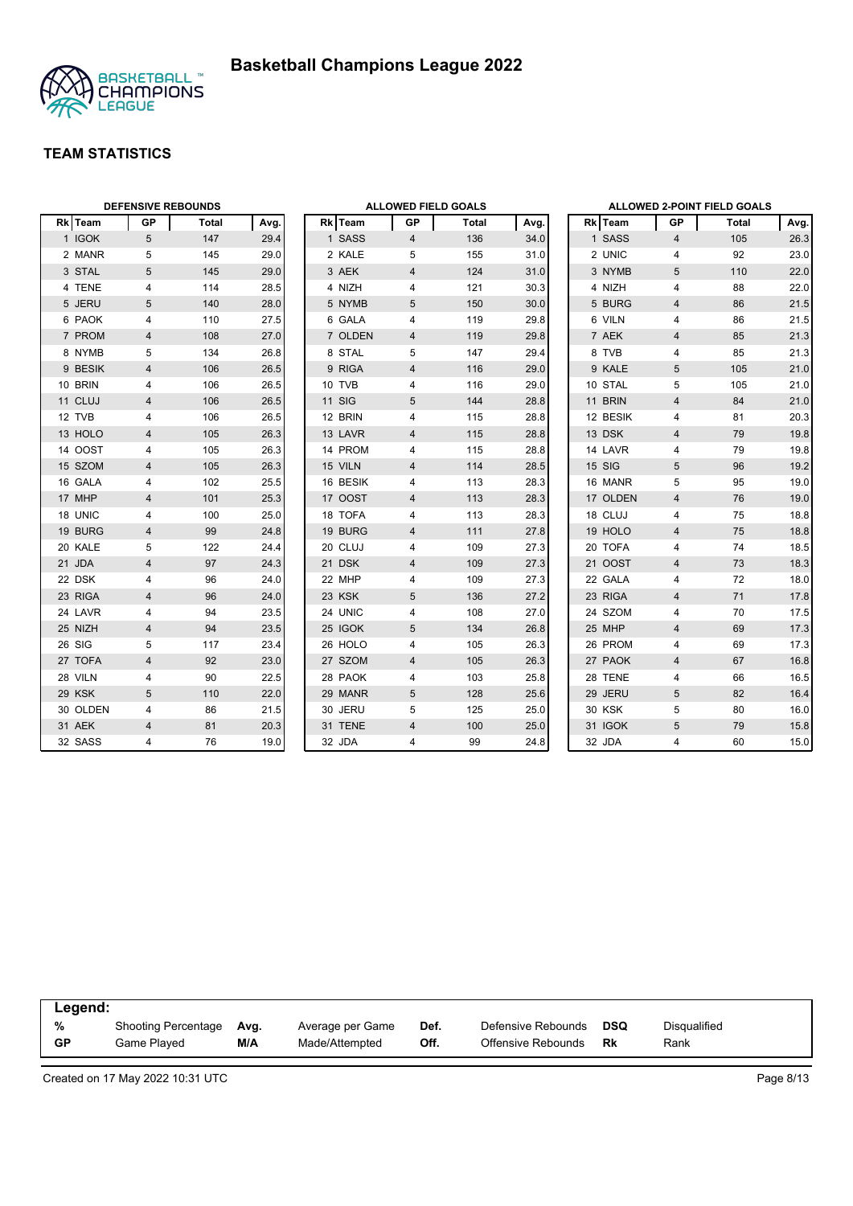



| <b>DEFENSIVE REBOUNDS</b> |                 |       |      |  | <b>ALLOWED FIELD GOALS</b> |                |       |      |  | <b>ALLOWED 2-POINT FIELD GOALS</b> |                |       |      |
|---------------------------|-----------------|-------|------|--|----------------------------|----------------|-------|------|--|------------------------------------|----------------|-------|------|
| Rk Team                   | <b>GP</b>       | Total | Avg. |  | Rk Team                    | GP             | Total | Avg. |  | Rk Team                            | GP             | Total | Avg. |
| 1 IGOK                    | $5\phantom{.0}$ | 147   | 29.4 |  | 1 SASS                     | $\overline{4}$ | 136   | 34.0 |  | 1 SASS                             | $\overline{4}$ | 105   | 26.3 |
| 2 MANR                    | 5               | 145   | 29.0 |  | 2 KALE                     | 5              | 155   | 31.0 |  | 2 UNIC                             | 4              | 92    | 23.0 |
| 3 STAL                    | 5               | 145   | 29.0 |  | 3 AEK                      | $\overline{4}$ | 124   | 31.0 |  | 3 NYMB                             | 5              | 110   | 22.0 |
| 4 TENE                    | 4               | 114   | 28.5 |  | 4 NIZH                     | 4              | 121   | 30.3 |  | 4 NIZH                             | $\overline{4}$ | 88    | 22.0 |
| 5 JERU                    | 5               | 140   | 28.0 |  | 5 NYMB                     | 5              | 150   | 30.0 |  | 5 BURG                             | $\overline{4}$ | 86    | 21.5 |
| 6 PAOK                    | 4               | 110   | 27.5 |  | 6 GALA                     | 4              | 119   | 29.8 |  | 6 VILN                             | 4              | 86    | 21.5 |
| 7 PROM                    | $\overline{4}$  | 108   | 27.0 |  | 7 OLDEN                    | 4              | 119   | 29.8 |  | 7 AEK                              | $\overline{4}$ | 85    | 21.3 |
| 8 NYMB                    | 5               | 134   | 26.8 |  | 8 STAL                     | 5              | 147   | 29.4 |  | 8 TVB                              | 4              | 85    | 21.3 |
| 9 BESIK                   | $\overline{4}$  | 106   | 26.5 |  | 9 RIGA                     | 4              | 116   | 29.0 |  | 9 KALE                             | 5              | 105   | 21.0 |
| 10 BRIN                   | 4               | 106   | 26.5 |  | 10 TVB                     | 4              | 116   | 29.0 |  | 10 STAL                            | 5              | 105   | 21.0 |
| 11 CLUJ                   | 4               | 106   | 26.5 |  | <b>11 SIG</b>              | 5              | 144   | 28.8 |  | 11 BRIN                            | $\overline{4}$ | 84    | 21.0 |
| 12 TVB                    | 4               | 106   | 26.5 |  | 12 BRIN                    | 4              | 115   | 28.8 |  | 12 BESIK                           | 4              | 81    | 20.3 |
| 13 HOLO                   | $\overline{4}$  | 105   | 26.3 |  | 13 LAVR                    | $\overline{4}$ | 115   | 28.8 |  | 13 DSK                             | $\overline{4}$ | 79    | 19.8 |
| 14 OOST                   | 4               | 105   | 26.3 |  | 14 PROM                    | 4              | 115   | 28.8 |  | 14 LAVR                            | $\overline{4}$ | 79    | 19.8 |
| 15 SZOM                   | 4               | 105   | 26.3 |  | 15 VILN                    | 4              | 114   | 28.5 |  | 15 SIG                             | 5              | 96    | 19.2 |
| 16 GALA                   | 4               | 102   | 25.5 |  | 16 BESIK                   | 4              | 113   | 28.3 |  | 16 MANR                            | 5              | 95    | 19.0 |
| 17 MHP                    | $\overline{4}$  | 101   | 25.3 |  | 17 OOST                    | 4              | 113   | 28.3 |  | 17 OLDEN                           | $\overline{4}$ | 76    | 19.0 |
| 18 UNIC                   | 4               | 100   | 25.0 |  | 18 TOFA                    | 4              | 113   | 28.3 |  | 18 CLUJ                            | 4              | 75    | 18.8 |
| 19 BURG                   | $\overline{4}$  | 99    | 24.8 |  | 19 BURG                    | 4              | 111   | 27.8 |  | 19 HOLO                            | $\overline{4}$ | 75    | 18.8 |
| 20 KALE                   | 5               | 122   | 24.4 |  | 20 CLUJ                    | 4              | 109   | 27.3 |  | 20 TOFA                            | 4              | 74    | 18.5 |
| 21 JDA                    | 4               | 97    | 24.3 |  | 21 DSK                     | 4              | 109   | 27.3 |  | 21 OOST                            | $\overline{4}$ | 73    | 18.3 |
| 22 DSK                    | 4               | 96    | 24.0 |  | 22 MHP                     | 4              | 109   | 27.3 |  | 22 GALA                            | 4              | 72    | 18.0 |
| 23 RIGA                   | $\overline{4}$  | 96    | 24.0 |  | 23 KSK                     | $\sqrt{5}$     | 136   | 27.2 |  | 23 RIGA                            | $\overline{4}$ | 71    | 17.8 |
| 24 LAVR                   | 4               | 94    | 23.5 |  | 24 UNIC                    | 4              | 108   | 27.0 |  | 24 SZOM                            | $\overline{4}$ | 70    | 17.5 |
| 25 NIZH                   | 4               | 94    | 23.5 |  | 25 IGOK                    | 5              | 134   | 26.8 |  | 25 MHP                             | $\overline{4}$ | 69    | 17.3 |
| 26 SIG                    | 5               | 117   | 23.4 |  | 26 HOLO                    | 4              | 105   | 26.3 |  | 26 PROM                            | 4              | 69    | 17.3 |
| 27 TOFA                   | $\overline{4}$  | 92    | 23.0 |  | 27 SZOM                    | 4              | 105   | 26.3 |  | 27 PAOK                            | $\overline{4}$ | 67    | 16.8 |
| 28 VILN                   | 4               | 90    | 22.5 |  | 28 PAOK                    | 4              | 103   | 25.8 |  | 28 TENE                            | 4              | 66    | 16.5 |
| 29 KSK                    | 5               | 110   | 22.0 |  | 29 MANR                    | 5              | 128   | 25.6 |  | 29 JERU                            | 5              | 82    | 16.4 |
| 30 OLDEN                  | 4               | 86    | 21.5 |  | 30 JERU                    | 5              | 125   | 25.0 |  | <b>30 KSK</b>                      | 5              | 80    | 16.0 |
| 31 AEK                    | $\overline{4}$  | 81    | 20.3 |  | 31 TENE                    | $\overline{4}$ | 100   | 25.0 |  | 31 IGOK                            | 5              | 79    | 15.8 |
| 32 SASS                   | 4               | 76    | 19.0 |  | 32 JDA                     | 4              | 99    | 24.8 |  | 32 JDA                             | $\overline{4}$ | 60    | 15.0 |

| Legend:   |                     |      |                  |      |                    |            |              |  |
|-----------|---------------------|------|------------------|------|--------------------|------------|--------------|--|
| %         | Shooting Percentage | Avg. | Average per Game | Def. | Defensive Rebounds | <b>DSQ</b> | Disqualified |  |
| <b>GP</b> | Game Played         | M/A  | Made/Attempted   | Off. | Offensive Rebounds | Rk         | Rank         |  |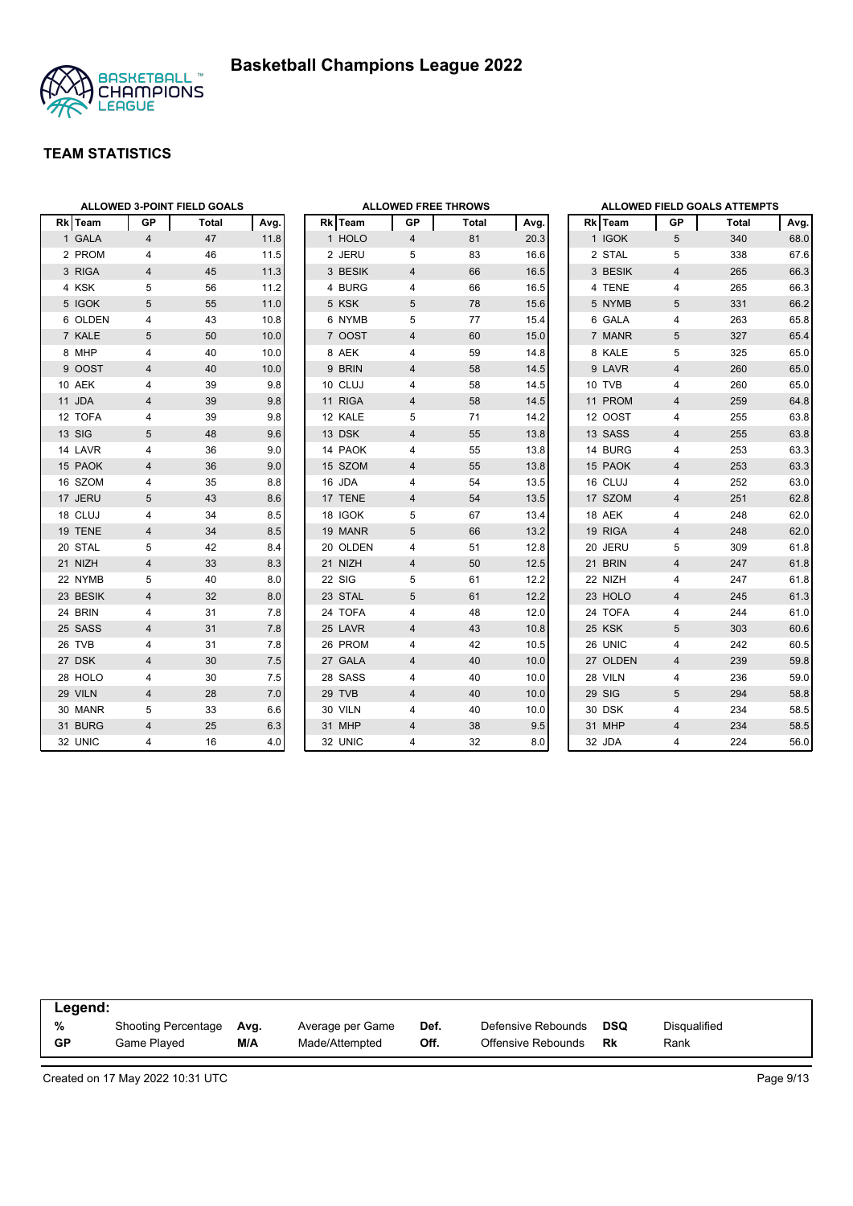

|          | ALLOWED 3-POINT FIELD GOALS |       |      |  |          | <b>ALLOWED FREE THROWS</b> |       | <b>ALLOWED FIELD GOALS ATTEMPTS</b> |  |          |                |       |      |
|----------|-----------------------------|-------|------|--|----------|----------------------------|-------|-------------------------------------|--|----------|----------------|-------|------|
| Rk Team  | GP                          | Total | Avg. |  | Rk Team  | GP                         | Total | Avg.                                |  | Rk Team  | GP             | Total | Avg. |
| 1 GALA   | $\overline{4}$              | 47    | 11.8 |  | 1 HOLO   | $\overline{4}$             | 81    | 20.3                                |  | 1 IGOK   | 5              | 340   | 68.0 |
| 2 PROM   | 4                           | 46    | 11.5 |  | 2 JERU   | 5                          | 83    | 16.6                                |  | 2 STAL   | 5              | 338   | 67.6 |
| 3 RIGA   | $\overline{4}$              | 45    | 11.3 |  | 3 BESIK  | $\overline{4}$             | 66    | 16.5                                |  | 3 BESIK  | $\overline{4}$ | 265   | 66.3 |
| 4 KSK    | 5                           | 56    | 11.2 |  | 4 BURG   | 4                          | 66    | 16.5                                |  | 4 TENE   | 4              | 265   | 66.3 |
| 5 IGOK   | 5                           | 55    | 11.0 |  | 5 KSK    | 5                          | 78    | 15.6                                |  | 5 NYMB   | 5              | 331   | 66.2 |
| 6 OLDEN  | 4                           | 43    | 10.8 |  | 6 NYMB   | 5                          | 77    | 15.4                                |  | 6 GALA   | 4              | 263   | 65.8 |
| 7 KALE   | 5                           | 50    | 10.0 |  | 7 OOST   | $\overline{4}$             | 60    | 15.0                                |  | 7 MANR   | 5              | 327   | 65.4 |
| 8 MHP    | 4                           | 40    | 10.0 |  | 8 AEK    | 4                          | 59    | 14.8                                |  | 8 KALE   | 5              | 325   | 65.0 |
| 9 OOST   | 4                           | 40    | 10.0 |  | 9 BRIN   | $\overline{4}$             | 58    | 14.5                                |  | 9 LAVR   | $\overline{4}$ | 260   | 65.0 |
| 10 AEK   | 4                           | 39    | 9.8  |  | 10 CLUJ  | 4                          | 58    | 14.5                                |  | 10 TVB   | 4              | 260   | 65.0 |
| 11 JDA   | 4                           | 39    | 9.8  |  | 11 RIGA  | $\overline{4}$             | 58    | 14.5                                |  | 11 PROM  | $\overline{4}$ | 259   | 64.8 |
| 12 TOFA  | 4                           | 39    | 9.8  |  | 12 KALE  | 5                          | 71    | 14.2                                |  | 12 OOST  | 4              | 255   | 63.8 |
| 13 SIG   | 5                           | 48    | 9.6  |  | 13 DSK   | $\overline{4}$             | 55    | 13.8                                |  | 13 SASS  | $\overline{4}$ | 255   | 63.8 |
| 14 LAVR  | 4                           | 36    | 9.0  |  | 14 PAOK  | 4                          | 55    | 13.8                                |  | 14 BURG  | 4              | 253   | 63.3 |
| 15 PAOK  | 4                           | 36    | 9.0  |  | 15 SZOM  | $\overline{4}$             | 55    | 13.8                                |  | 15 PAOK  | $\overline{4}$ | 253   | 63.3 |
| 16 SZOM  | 4                           | 35    | 8.8  |  | 16 JDA   | 4                          | 54    | 13.5                                |  | 16 CLUJ  | 4              | 252   | 63.0 |
| 17 JERU  | 5                           | 43    | 8.6  |  | 17 TENE  | $\overline{4}$             | 54    | 13.5                                |  | 17 SZOM  | $\overline{4}$ | 251   | 62.8 |
| 18 CLUJ  | 4                           | 34    | 8.5  |  | 18 IGOK  | 5                          | 67    | 13.4                                |  | 18 AEK   | 4              | 248   | 62.0 |
| 19 TENE  | 4                           | 34    | 8.5  |  | 19 MANR  | 5                          | 66    | 13.2                                |  | 19 RIGA  | $\overline{4}$ | 248   | 62.0 |
| 20 STAL  | 5                           | 42    | 8.4  |  | 20 OLDEN | 4                          | 51    | 12.8                                |  | 20 JERU  | 5              | 309   | 61.8 |
| 21 NIZH  | 4                           | 33    | 8.3  |  | 21 NIZH  | $\overline{4}$             | 50    | 12.5                                |  | 21 BRIN  | $\overline{4}$ | 247   | 61.8 |
| 22 NYMB  | 5                           | 40    | 8.0  |  | 22 SIG   | 5                          | 61    | 12.2                                |  | 22 NIZH  | 4              | 247   | 61.8 |
| 23 BESIK | $\overline{4}$              | 32    | 8.0  |  | 23 STAL  | 5                          | 61    | 12.2                                |  | 23 HOLO  | $\overline{4}$ | 245   | 61.3 |
| 24 BRIN  | 4                           | 31    | 7.8  |  | 24 TOFA  | 4                          | 48    | 12.0                                |  | 24 TOFA  | $\overline{4}$ | 244   | 61.0 |
| 25 SASS  | 4                           | 31    | 7.8  |  | 25 LAVR  | $\overline{4}$             | 43    | 10.8                                |  | 25 KSK   | 5              | 303   | 60.6 |
| 26 TVB   | 4                           | 31    | 7.8  |  | 26 PROM  | 4                          | 42    | 10.5                                |  | 26 UNIC  | 4              | 242   | 60.5 |
| 27 DSK   | $\overline{4}$              | 30    | 7.5  |  | 27 GALA  | 4                          | 40    | 10.0                                |  | 27 OLDEN | $\overline{4}$ | 239   | 59.8 |
| 28 HOLO  | 4                           | 30    | 7.5  |  | 28 SASS  | 4                          | 40    | 10.0                                |  | 28 VILN  | $\overline{4}$ | 236   | 59.0 |
| 29 VILN  | 4                           | 28    | 7.0  |  | 29 TVB   | $\overline{4}$             | 40    | 10.0                                |  | 29 SIG   | 5              | 294   | 58.8 |
| 30 MANR  | 5                           | 33    | 6.6  |  | 30 VILN  | 4                          | 40    | 10.0                                |  | 30 DSK   | 4              | 234   | 58.5 |
| 31 BURG  | 4                           | 25    | 6.3  |  | 31 MHP   | $\overline{4}$             | 38    | 9.5                                 |  | 31 MHP   | $\overline{4}$ | 234   | 58.5 |
| 32 UNIC  | 4                           | 16    | 4.0  |  | 32 UNIC  | 4                          | 32    | 8.0                                 |  | 32 JDA   | $\overline{4}$ | 224   | 56.0 |

| Legend:   |                     |      |                  |      |                    |     |              |  |
|-----------|---------------------|------|------------------|------|--------------------|-----|--------------|--|
| %         | Shooting Percentage | Ava. | Average per Game | Def. | Defensive Rebounds | DSQ | Disgualified |  |
| <b>GP</b> | Game Played         | M/A  | Made/Attempted   | Off. | Offensive Rebounds | Rk  | Rank         |  |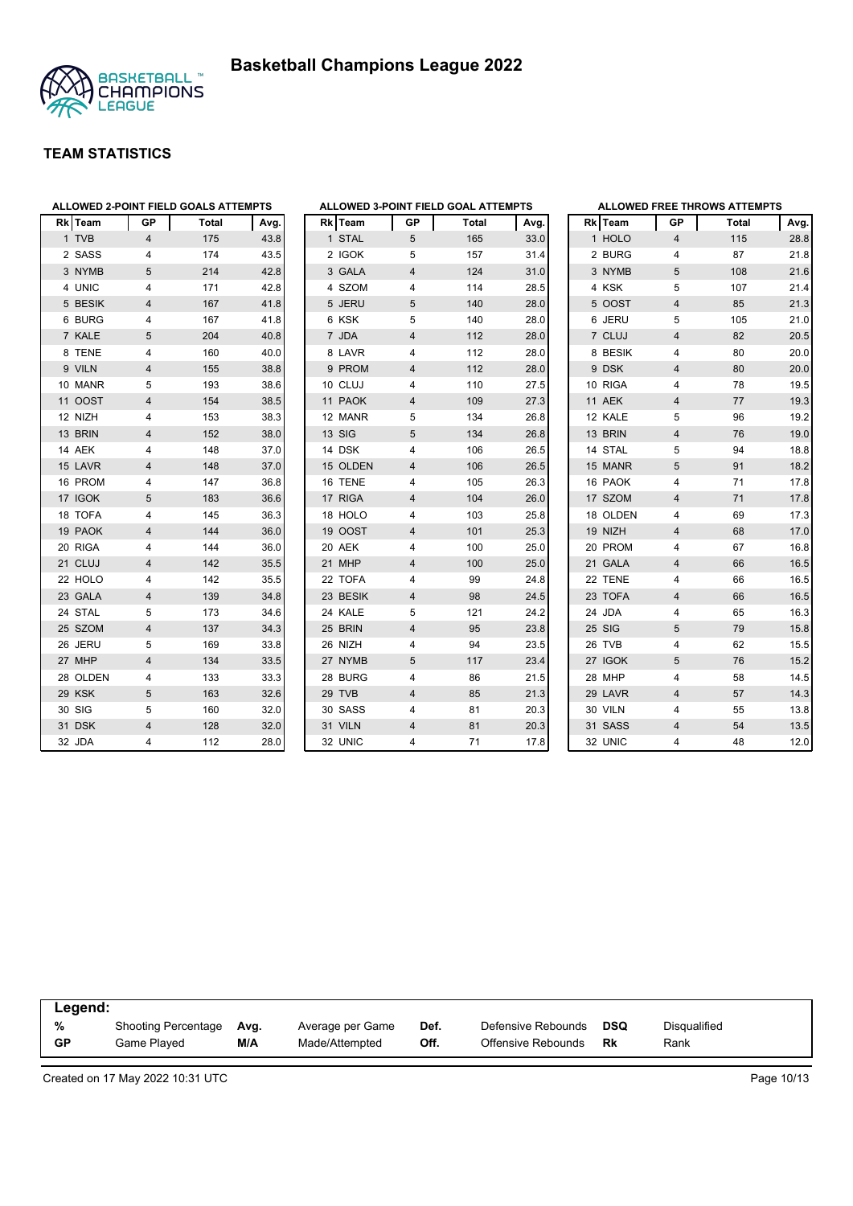



| <b>ALLOWED 2-POINT FIELD GOALS ATTEMPTS</b> |                         |       | <b>ALLOWED 3-POINT FIEL</b> |                                    |
|---------------------------------------------|-------------------------|-------|-----------------------------|------------------------------------|
| <b>Rk</b> Team                              | GР                      | Total | Avg.                        | <b>Rk</b> Team<br>GР               |
| 1 TVB                                       | $\overline{\mathbf{4}}$ | 175   | 43.8                        | 1 STAL<br>5                        |
| 2 SASS                                      | 4                       | 174   | 43.5                        | 2 IGOK<br>5                        |
| 3 NYMB                                      | 5                       | 214   | 42.8                        | 3 GALA<br>4                        |
| 4 UNIC                                      | $\overline{\mathbf{4}}$ | 171   | 42.8                        | 4 SZOM<br>4                        |
| 5 BESIK                                     | $\overline{\mathbf{4}}$ | 167   | 41.8                        | 5 JERU<br>5                        |
| 6 BURG                                      | 4                       | 167   | 41.8                        | 6 KSK<br>5                         |
| 7 KALE                                      | 5                       | 204   | 40.8                        | 7 JDA<br>4                         |
| 8 TENE                                      | 4                       | 160   | 40.0                        | 8 LAVR<br>4                        |
| 9 VILN                                      | $\overline{\mathbf{4}}$ | 155   | 38.8                        | 9 PROM<br>$\overline{4}$           |
| 10 MANR                                     | 5                       | 193   | 38.6                        | 10 CLUJ<br>4                       |
| 11 OOST                                     | $\overline{\mathbf{4}}$ | 154   | 38.5                        | 11 PAOK<br>4                       |
| 12 NIZH                                     | 4                       | 153   | 38.3                        | 12 MANR<br>5                       |
| 13 BRIN                                     | $\overline{\mathbf{4}}$ | 152   | 38.0                        | 13 SIG<br>5                        |
| 14 AEK                                      | 4                       | 148   | 37.0                        | 14 DSK<br>4                        |
| 15 LAVR                                     | $\overline{4}$          | 148   | 37.0                        | 15 OLDEN<br>$\overline{4}$         |
| 16 PROM                                     | 4                       | 147   | 36.8                        | 16 TENE<br>4                       |
| 17 IGOK                                     | 5                       | 183   | 36.6                        | 17 RIGA<br>4                       |
| 18 TOFA                                     | 4                       | 145   | 36.3                        | 18 HOLO<br>4                       |
| 19 PAOK                                     | $\overline{\mathbf{4}}$ | 144   | 36.0                        | 19 OOST<br>4                       |
| 20 RIGA                                     | 4                       | 144   | 36.0                        | 20 AEK<br>4                        |
| 21 CLUJ                                     | $\overline{4}$          | 142   | 35.5                        | 21 MHP<br>4                        |
| 22 HOLO                                     | 4                       | 142   | 35.5                        | 22 TOFA<br>4                       |
| 23 GALA                                     | $\overline{\mathbf{4}}$ | 139   | 34.8                        | 23 BESIK<br>4                      |
| 24 STAL                                     | 5                       | 173   | 34.6                        | 24 KALE<br>5                       |
| 25 SZOM                                     | $\overline{4}$          | 137   | 34.3                        | 25 BRIN<br>4                       |
| 26 JERU                                     | 5                       | 169   | 33.8                        | 26 NIZH<br>4                       |
| 27 MHP                                      | $\overline{\mathbf{4}}$ | 134   | 33.5                        | 5<br>27 NYMB                       |
| 28 OLDEN                                    | 4                       | 133   | 33.3                        | 28 BURG<br>4                       |
| 29 KSK                                      | 5                       | 163   | 32.6                        | 29 TVB<br>4                        |
| 30 SIG                                      | 5                       | 160   | 32.0                        | 30 SASS<br>4                       |
| 31 DSK                                      | $\overline{\mathbf{4}}$ | 128   | 32.0                        | 31 VILN<br>$\overline{\mathbf{4}}$ |
| 32 JDA                                      | 4                       | 112   | 28.0                        | 32 UNIC<br>4                       |

|                | ALLOWED 3-POINT FIELD GOAL ATTEMPTS |                |              |      |  |  |  |  |  |  |  |
|----------------|-------------------------------------|----------------|--------------|------|--|--|--|--|--|--|--|
|                | Rk Team                             | <b>GP</b>      | <b>Total</b> | Avg. |  |  |  |  |  |  |  |
| $\mathbf{1}$   | <b>STAL</b>                         | 5              | 165          | 33.0 |  |  |  |  |  |  |  |
|                | 2 IGOK                              | 5              | 157          | 31.4 |  |  |  |  |  |  |  |
|                | 3 GALA                              | $\overline{4}$ | 124          | 31.0 |  |  |  |  |  |  |  |
|                | 4 SZOM                              | 4              | 114          | 28.5 |  |  |  |  |  |  |  |
| 5              | <b>JERU</b>                         | 5              | 140          | 28.0 |  |  |  |  |  |  |  |
| 6              | <b>KSK</b>                          | 5              | 140          | 28.0 |  |  |  |  |  |  |  |
| $\overline{7}$ | <b>JDA</b>                          | $\overline{4}$ | 112          | 28.0 |  |  |  |  |  |  |  |
| 8              | LAVR                                | 4              | 112          | 28.0 |  |  |  |  |  |  |  |
| 9              | <b>PROM</b>                         | $\overline{4}$ | 112          | 28.0 |  |  |  |  |  |  |  |
| 10             | <b>CLUJ</b>                         | 4              | 110          | 27.5 |  |  |  |  |  |  |  |
| 11             | <b>PAOK</b>                         | 4              | 109          | 27.3 |  |  |  |  |  |  |  |
| 12             | <b>MANR</b>                         | 5              | 134          | 26.8 |  |  |  |  |  |  |  |
|                | 13 SIG                              | 5              | 134          | 26.8 |  |  |  |  |  |  |  |
|                | 14 DSK                              | 4              | 106          | 26.5 |  |  |  |  |  |  |  |
|                | 15 OLDEN                            | 4              | 106          | 26.5 |  |  |  |  |  |  |  |
| 16             | <b>TENE</b>                         | 4              | 105          | 26.3 |  |  |  |  |  |  |  |
| 17             | <b>RIGA</b>                         | 4              | 104          | 26.0 |  |  |  |  |  |  |  |
| 18             | <b>HOLO</b>                         | 4              | 103          | 25.8 |  |  |  |  |  |  |  |
|                | 19 OOST                             | $\overline{4}$ | 101          | 25.3 |  |  |  |  |  |  |  |
|                | 20 AEK                              | 4              | 100          | 25.0 |  |  |  |  |  |  |  |
| 21             | <b>MHP</b>                          | 4              | 100          | 25.0 |  |  |  |  |  |  |  |
| 22             | <b>TOFA</b>                         | 4              | 99           | 24.8 |  |  |  |  |  |  |  |
|                | 23 BESIK                            | $\overline{4}$ | 98           | 24.5 |  |  |  |  |  |  |  |
|                | 24 KALE                             | 5              | 121          | 24.2 |  |  |  |  |  |  |  |
|                | 25 BRIN                             | 4              | 95           | 23.8 |  |  |  |  |  |  |  |
| 26             | <b>NIZH</b>                         | 4              | 94           | 23.5 |  |  |  |  |  |  |  |
|                | 27 NYMB                             | 5              | 117          | 23.4 |  |  |  |  |  |  |  |
| 28             | <b>BURG</b>                         | 4              | 86           | 21.5 |  |  |  |  |  |  |  |
|                | 29 TVB                              | $\overline{4}$ | 85           | 21.3 |  |  |  |  |  |  |  |
|                | 30 SASS                             | 4              | 81           | 20.3 |  |  |  |  |  |  |  |
| 31             | <b>VILN</b>                         | $\overline{4}$ | 81           | 20.3 |  |  |  |  |  |  |  |
| 32             | <b>UNIC</b>                         | 4              | 71           | 17.8 |  |  |  |  |  |  |  |

|                | <b>ALLOWED FREE THROWS ATTEMPTS</b> |                         |              |      |  |  |  |  |  |  |  |
|----------------|-------------------------------------|-------------------------|--------------|------|--|--|--|--|--|--|--|
|                | Rk Team                             | GP                      | <b>Total</b> | Avg. |  |  |  |  |  |  |  |
| $\mathbf{1}$   | <b>HOLO</b>                         | $\overline{\mathbf{4}}$ | 115          | 28.8 |  |  |  |  |  |  |  |
| $\overline{2}$ | <b>BURG</b>                         | 4                       | 87           | 21.8 |  |  |  |  |  |  |  |
|                | 3 NYMB                              | 5                       | 108          | 21.6 |  |  |  |  |  |  |  |
| 4              | <b>KSK</b>                          | 5                       | 107          | 21.4 |  |  |  |  |  |  |  |
|                | 5 OOST                              | $\overline{4}$          | 85           | 21.3 |  |  |  |  |  |  |  |
|                | 6 JERU                              | 5                       | 105          | 21.0 |  |  |  |  |  |  |  |
| $\overline{7}$ | CLUJ                                | $\overline{\mathbf{4}}$ | 82           | 20.5 |  |  |  |  |  |  |  |
| 8              | <b>BESIK</b>                        | 4                       | 80           | 20.0 |  |  |  |  |  |  |  |
|                | 9 DSK                               | $\overline{\mathbf{4}}$ | 80           | 20.0 |  |  |  |  |  |  |  |
|                | 10 RIGA                             | 4                       | 78           | 19.5 |  |  |  |  |  |  |  |
|                | 11 AEK                              | $\overline{\mathbf{4}}$ | 77           | 19.3 |  |  |  |  |  |  |  |
|                | 12 KALE                             | 5                       | 96           | 19.2 |  |  |  |  |  |  |  |
| 13             | <b>BRIN</b>                         | $\overline{4}$          | 76           | 19.0 |  |  |  |  |  |  |  |
|                | 14 STAL                             | 5                       | 94           | 18.8 |  |  |  |  |  |  |  |
|                | 15 MANR                             | 5                       | 91           | 18.2 |  |  |  |  |  |  |  |
|                | 16 PAOK                             | $\overline{\mathbf{4}}$ | 71           | 17.8 |  |  |  |  |  |  |  |
|                | 17 SZOM                             | $\overline{\mathbf{4}}$ | 71           | 17.8 |  |  |  |  |  |  |  |
|                | 18 OLDEN                            | 4                       | 69           | 17.3 |  |  |  |  |  |  |  |
|                | 19 NIZH                             | $\overline{\mathbf{4}}$ | 68           | 17.0 |  |  |  |  |  |  |  |
|                | 20 PROM                             | 4                       | 67           | 16.8 |  |  |  |  |  |  |  |
|                | 21 GALA                             | $\overline{\mathbf{4}}$ | 66           | 16.5 |  |  |  |  |  |  |  |
|                | 22 TENE                             | 4                       | 66           | 16.5 |  |  |  |  |  |  |  |
| 23             | <b>TOFA</b>                         | $\overline{\mathbf{4}}$ | 66           | 16.5 |  |  |  |  |  |  |  |
| 24             | <b>JDA</b>                          | 4                       | 65           | 16.3 |  |  |  |  |  |  |  |
| 25             | <b>SIG</b>                          | 5                       | 79           | 15.8 |  |  |  |  |  |  |  |
| 26             | <b>TVB</b>                          | 4                       | 62           | 15.5 |  |  |  |  |  |  |  |
|                | 27 IGOK                             | 5                       | 76           | 15.2 |  |  |  |  |  |  |  |
| 28             | <b>MHP</b>                          | $\overline{\mathbf{4}}$ | 58           | 14.5 |  |  |  |  |  |  |  |
| 29             | LAVR                                | $\overline{\mathbf{4}}$ | 57           | 14.3 |  |  |  |  |  |  |  |
|                | 30 VILN                             | 4                       | 55           | 13.8 |  |  |  |  |  |  |  |
|                | 31 SASS                             | $\overline{4}$          | 54           | 13.5 |  |  |  |  |  |  |  |
|                | 32 UNIC                             | 4                       | 48           | 12.0 |  |  |  |  |  |  |  |

|           | Legend:             |      |                  |      |                    |     |              |  |  |  |  |  |
|-----------|---------------------|------|------------------|------|--------------------|-----|--------------|--|--|--|--|--|
| %         | Shooting Percentage | Avg. | Average per Game | Def. | Defensive Rebounds | DSQ | Disgualified |  |  |  |  |  |
| <b>GP</b> | Game Plaved         | M/A  | Made/Attempted   | Off. | Offensive Rebounds | Rk  | Rank         |  |  |  |  |  |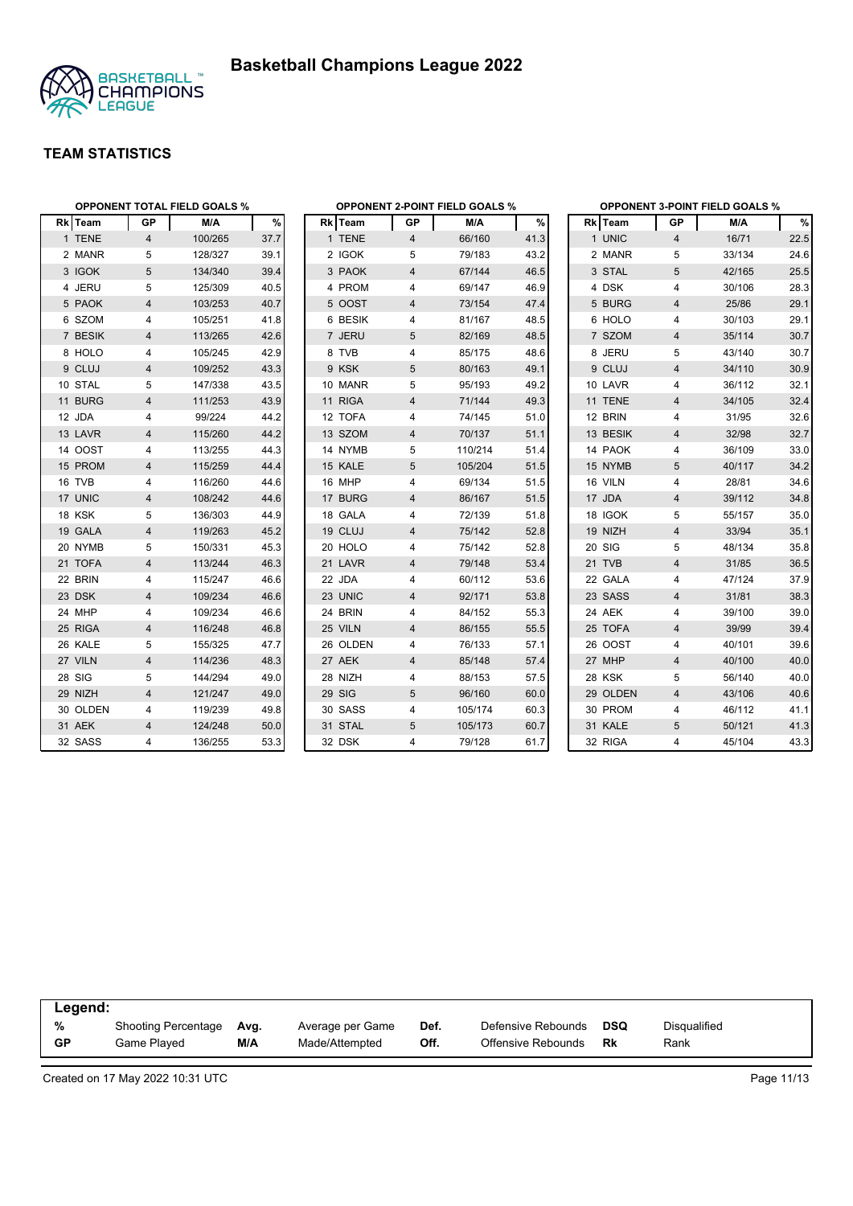



|          |                | <b>OPPONENT TOTAL FIELD GOALS %</b> |      |          |                | <b>OPPONENT 2-POINT FIELD GOALS %</b> |      | <b>OPPONENT 3-POINT FIELD GOALS %</b> |                |        |      |  |
|----------|----------------|-------------------------------------|------|----------|----------------|---------------------------------------|------|---------------------------------------|----------------|--------|------|--|
| Rk Team  | GP             | M/A                                 | %    | Rk Team  | GP             | M/A                                   | $\%$ | Rk Team                               | GP             | M/A    | $\%$ |  |
| 1 TENE   | $\overline{4}$ | 100/265                             | 37.7 | 1 TENE   | $\overline{4}$ | 66/160                                | 41.3 | 1 UNIC                                | $\overline{4}$ | 16/71  | 22.5 |  |
| 2 MANR   | 5              | 128/327                             | 39.1 | 2 IGOK   | 5              | 79/183                                | 43.2 | 2 MANR                                | 5              | 33/134 | 24.6 |  |
| 3 IGOK   | 5              | 134/340                             | 39.4 | 3 PAOK   | 4              | 67/144                                | 46.5 | 3 STAL                                | 5              | 42/165 | 25.5 |  |
| 4 JERU   | 5              | 125/309                             | 40.5 | 4 PROM   | 4              | 69/147                                | 46.9 | 4 DSK                                 | 4              | 30/106 | 28.3 |  |
| 5 PAOK   | 4              | 103/253                             | 40.7 | 5 OOST   | 4              | 73/154                                | 47.4 | 5 BURG                                | 4              | 25/86  | 29.1 |  |
| 6 SZOM   | 4              | 105/251                             | 41.8 | 6 BESIK  | 4              | 81/167                                | 48.5 | 6 HOLO                                | 4              | 30/103 | 29.1 |  |
| 7 BESIK  | 4              | 113/265                             | 42.6 | 7 JERU   | 5              | 82/169                                | 48.5 | 7 SZOM                                | 4              | 35/114 | 30.7 |  |
| 8 HOLO   | 4              | 105/245                             | 42.9 | 8 TVB    | 4              | 85/175                                | 48.6 | 8 JERU                                | 5              | 43/140 | 30.7 |  |
| 9 CLUJ   | 4              | 109/252                             | 43.3 | 9 KSK    | 5              | 80/163                                | 49.1 | 9 CLUJ                                | $\overline{4}$ | 34/110 | 30.9 |  |
| 10 STAL  | 5              | 147/338                             | 43.5 | 10 MANR  | 5              | 95/193                                | 49.2 | 10 LAVR                               | 4              | 36/112 | 32.1 |  |
| 11 BURG  | 4              | 111/253                             | 43.9 | 11 RIGA  | $\overline{4}$ | 71/144                                | 49.3 | 11 TENE                               | $\overline{4}$ | 34/105 | 32.4 |  |
| 12 JDA   | 4              | 99/224                              | 44.2 | 12 TOFA  | 4              | 74/145                                | 51.0 | 12 BRIN                               | 4              | 31/95  | 32.6 |  |
| 13 LAVR  | 4              | 115/260                             | 44.2 | 13 SZOM  | 4              | 70/137                                | 51.1 | 13 BESIK                              | $\overline{4}$ | 32/98  | 32.7 |  |
| 14 OOST  | 4              | 113/255                             | 44.3 | 14 NYMB  | 5              | 110/214                               | 51.4 | 14 PAOK                               | 4              | 36/109 | 33.0 |  |
| 15 PROM  | 4              | 115/259                             | 44.4 | 15 KALE  | 5              | 105/204                               | 51.5 | 15 NYMB                               | 5              | 40/117 | 34.2 |  |
| 16 TVB   | 4              | 116/260                             | 44.6 | 16 MHP   | 4              | 69/134                                | 51.5 | 16 VILN                               | 4              | 28/81  | 34.6 |  |
| 17 UNIC  | 4              | 108/242                             | 44.6 | 17 BURG  | 4              | 86/167                                | 51.5 | 17 JDA                                | 4              | 39/112 | 34.8 |  |
| 18 KSK   | 5              | 136/303                             | 44.9 | 18 GALA  | 4              | 72/139                                | 51.8 | 18 IGOK                               | 5              | 55/157 | 35.0 |  |
| 19 GALA  | 4              | 119/263                             | 45.2 | 19 CLUJ  | 4              | 75/142                                | 52.8 | 19 NIZH                               | $\overline{4}$ | 33/94  | 35.1 |  |
| 20 NYMB  | 5              | 150/331                             | 45.3 | 20 HOLO  | 4              | 75/142                                | 52.8 | 20 SIG                                | 5              | 48/134 | 35.8 |  |
| 21 TOFA  | 4              | 113/244                             | 46.3 | 21 LAVR  | 4              | 79/148                                | 53.4 | 21 TVB                                | $\overline{4}$ | 31/85  | 36.5 |  |
| 22 BRIN  | 4              | 115/247                             | 46.6 | 22 JDA   | 4              | 60/112                                | 53.6 | 22 GALA                               | 4              | 47/124 | 37.9 |  |
| 23 DSK   | 4              | 109/234                             | 46.6 | 23 UNIC  | 4              | 92/171                                | 53.8 | 23 SASS                               | 4              | 31/81  | 38.3 |  |
| 24 MHP   | 4              | 109/234                             | 46.6 | 24 BRIN  | 4              | 84/152                                | 55.3 | 24 AEK                                | 4              | 39/100 | 39.0 |  |
| 25 RIGA  | 4              | 116/248                             | 46.8 | 25 VILN  | 4              | 86/155                                | 55.5 | 25 TOFA                               | 4              | 39/99  | 39.4 |  |
| 26 KALE  | 5              | 155/325                             | 47.7 | 26 OLDEN | 4              | 76/133                                | 57.1 | 26 OOST                               | 4              | 40/101 | 39.6 |  |
| 27 VILN  | 4              | 114/236                             | 48.3 | 27 AEK   | 4              | 85/148                                | 57.4 | 27 MHP                                | $\overline{4}$ | 40/100 | 40.0 |  |
| 28 SIG   | 5              | 144/294                             | 49.0 | 28 NIZH  | 4              | 88/153                                | 57.5 | 28 KSK                                | 5              | 56/140 | 40.0 |  |
| 29 NIZH  | 4              | 121/247                             | 49.0 | 29 SIG   | 5              | 96/160                                | 60.0 | 29 OLDEN                              | $\overline{4}$ | 43/106 | 40.6 |  |
| 30 OLDEN | 4              | 119/239                             | 49.8 | 30 SASS  | 4              | 105/174                               | 60.3 | 30 PROM                               | 4              | 46/112 | 41.1 |  |
| 31 AEK   | $\overline{4}$ | 124/248                             | 50.0 | 31 STAL  | 5              | 105/173                               | 60.7 | 31 KALE                               | 5              | 50/121 | 41.3 |  |
| 32 SASS  | 4              | 136/255                             | 53.3 | 32 DSK   | 4              | 79/128                                | 61.7 | 32 RIGA                               | $\overline{4}$ | 45/104 | 43.3 |  |

|           | Legend:                    |      |                  |      |                    |     |              |  |  |  |  |  |
|-----------|----------------------------|------|------------------|------|--------------------|-----|--------------|--|--|--|--|--|
| %         | <b>Shooting Percentage</b> | Ava. | Average per Game | Def. | Defensive Rebounds | DSQ | Disqualified |  |  |  |  |  |
| <b>GP</b> | Game Played                | M/A  | Made/Attempted   | Off. | Offensive Rebounds | Rk  | Rank         |  |  |  |  |  |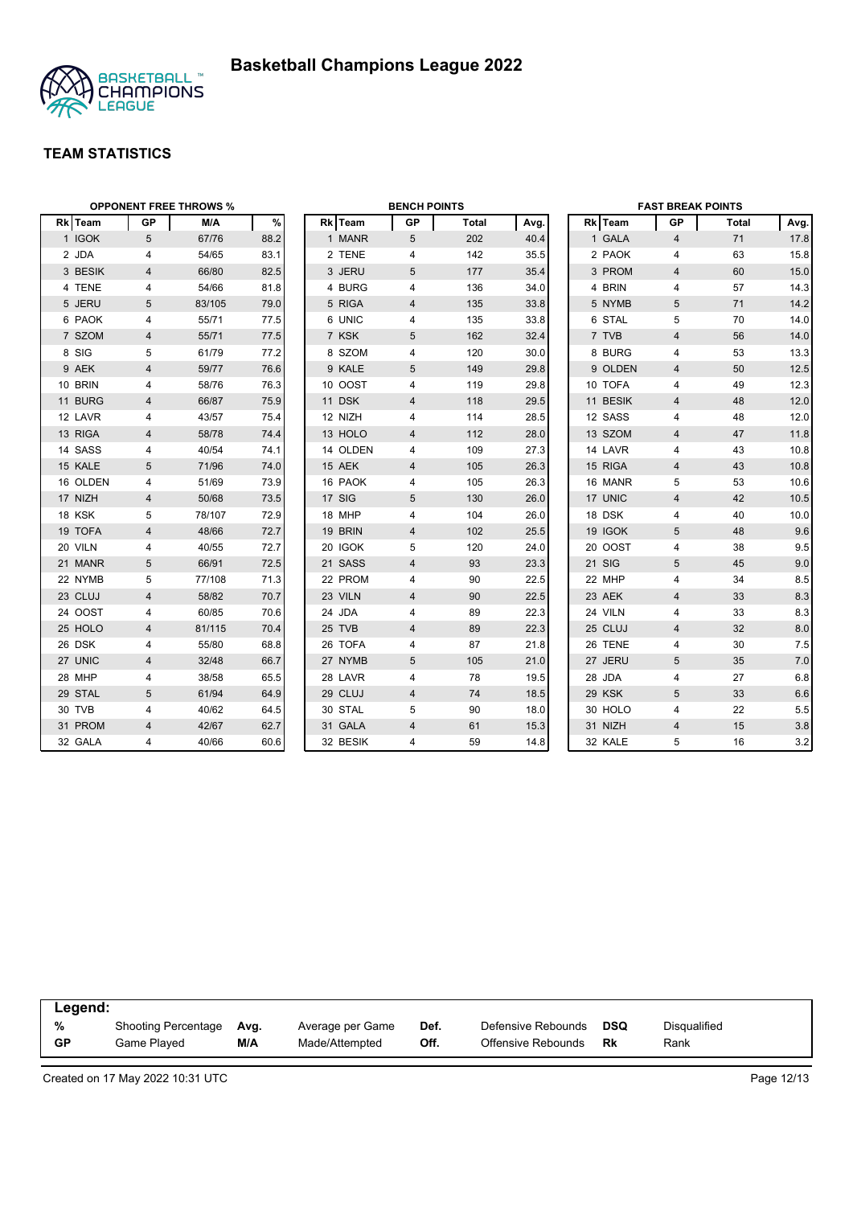



| <b>OPPONENT FREE THROWS %</b> |                |        |      | <b>BENCH POINTS</b> |          |                |              | <b>FAST BREAK POINTS</b> |  |          |                |       |      |
|-------------------------------|----------------|--------|------|---------------------|----------|----------------|--------------|--------------------------|--|----------|----------------|-------|------|
| Rk Team                       | <b>GP</b>      | M/A    | $\%$ |                     | Rk Team  | GP             | <b>Total</b> | Avg.                     |  | Rk Team  | <b>GP</b>      | Total | Avg. |
| 1 IGOK                        | 5              | 67/76  | 88.2 |                     | 1 MANR   | 5              | 202          | 40.4                     |  | 1 GALA   | $\overline{4}$ | 71    | 17.8 |
| 2 JDA                         | 4              | 54/65  | 83.1 |                     | 2 TENE   | 4              | 142          | 35.5                     |  | 2 PAOK   | $\overline{4}$ | 63    | 15.8 |
| 3 BESIK                       | 4              | 66/80  | 82.5 |                     | 3 JERU   | 5              | 177          | 35.4                     |  | 3 PROM   | $\overline{4}$ | 60    | 15.0 |
| 4 TENE                        | 4              | 54/66  | 81.8 |                     | 4 BURG   | 4              | 136          | 34.0                     |  | 4 BRIN   | 4              | 57    | 14.3 |
| 5 JERU                        | 5              | 83/105 | 79.0 |                     | 5 RIGA   | 4              | 135          | 33.8                     |  | 5 NYMB   | 5              | 71    | 14.2 |
| 6 PAOK                        | 4              | 55/71  | 77.5 |                     | 6 UNIC   | 4              | 135          | 33.8                     |  | 6 STAL   | 5              | 70    | 14.0 |
| 7 SZOM                        | $\overline{4}$ | 55/71  | 77.5 |                     | 7 KSK    | 5              | 162          | 32.4                     |  | 7 TVB    | $\overline{4}$ | 56    | 14.0 |
| 8 SIG                         | 5              | 61/79  | 77.2 |                     | 8 SZOM   | 4              | 120          | 30.0                     |  | 8 BURG   | 4              | 53    | 13.3 |
| 9 AEK                         | 4              | 59/77  | 76.6 |                     | 9 KALE   | 5              | 149          | 29.8                     |  | 9 OLDEN  | $\overline{4}$ | 50    | 12.5 |
| 10 BRIN                       | 4              | 58/76  | 76.3 |                     | 10 OOST  | 4              | 119          | 29.8                     |  | 10 TOFA  | 4              | 49    | 12.3 |
| 11 BURG                       | 4              | 66/87  | 75.9 |                     | 11 DSK   | 4              | 118          | 29.5                     |  | 11 BESIK | $\overline{4}$ | 48    | 12.0 |
| 12 LAVR                       | 4              | 43/57  | 75.4 |                     | 12 NIZH  | 4              | 114          | 28.5                     |  | 12 SASS  | 4              | 48    | 12.0 |
| 13 RIGA                       | $\overline{4}$ | 58/78  | 74.4 |                     | 13 HOLO  | 4              | 112          | 28.0                     |  | 13 SZOM  | $\overline{4}$ | 47    | 11.8 |
| 14 SASS                       | 4              | 40/54  | 74.1 |                     | 14 OLDEN | 4              | 109          | 27.3                     |  | 14 LAVR  | $\overline{4}$ | 43    | 10.8 |
| 15 KALE                       | 5              | 71/96  | 74.0 |                     | 15 AEK   | 4              | 105          | 26.3                     |  | 15 RIGA  | $\overline{4}$ | 43    | 10.8 |
| 16 OLDEN                      | 4              | 51/69  | 73.9 |                     | 16 PAOK  | 4              | 105          | 26.3                     |  | 16 MANR  | 5              | 53    | 10.6 |
| 17 NIZH                       | $\overline{4}$ | 50/68  | 73.5 |                     | 17 SIG   | 5              | 130          | 26.0                     |  | 17 UNIC  | $\overline{4}$ | 42    | 10.5 |
| 18 KSK                        | 5              | 78/107 | 72.9 |                     | 18 MHP   | 4              | 104          | 26.0                     |  | 18 DSK   | $\overline{4}$ | 40    | 10.0 |
| 19 TOFA                       | $\overline{4}$ | 48/66  | 72.7 |                     | 19 BRIN  | 4              | 102          | 25.5                     |  | 19 IGOK  | 5              | 48    | 9.6  |
| 20 VILN                       | 4              | 40/55  | 72.7 |                     | 20 IGOK  | 5              | 120          | 24.0                     |  | 20 OOST  | 4              | 38    | 9.5  |
| 21 MANR                       | 5              | 66/91  | 72.5 |                     | 21 SASS  | 4              | 93           | 23.3                     |  | 21 SIG   | $\overline{5}$ | 45    | 9.0  |
| 22 NYMB                       | 5              | 77/108 | 71.3 |                     | 22 PROM  | 4              | 90           | 22.5                     |  | 22 MHP   | $\overline{4}$ | 34    | 8.5  |
| 23 CLUJ                       | $\overline{4}$ | 58/82  | 70.7 |                     | 23 VILN  | 4              | 90           | 22.5                     |  | 23 AEK   | $\overline{4}$ | 33    | 8.3  |
| 24 OOST                       | 4              | 60/85  | 70.6 |                     | 24 JDA   | 4              | 89           | 22.3                     |  | 24 VILN  | 4              | 33    | 8.3  |
| 25 HOLO                       | 4              | 81/115 | 70.4 |                     | 25 TVB   | 4              | 89           | 22.3                     |  | 25 CLUJ  | 4              | 32    | 8.0  |
| 26 DSK                        | 4              | 55/80  | 68.8 |                     | 26 TOFA  | 4              | 87           | 21.8                     |  | 26 TENE  | 4              | 30    | 7.5  |
| 27 UNIC                       | 4              | 32/48  | 66.7 |                     | 27 NYMB  | 5              | 105          | 21.0                     |  | 27 JERU  | 5              | 35    | 7.0  |
| 28 MHP                        | 4              | 38/58  | 65.5 |                     | 28 LAVR  | 4              | 78           | 19.5                     |  | 28 JDA   | $\overline{4}$ | 27    | 6.8  |
| 29 STAL                       | 5              | 61/94  | 64.9 |                     | 29 CLUJ  | 4              | 74           | 18.5                     |  | 29 KSK   | 5              | 33    | 6.6  |
| 30 TVB                        | 4              | 40/62  | 64.5 |                     | 30 STAL  | 5              | 90           | 18.0                     |  | 30 HOLO  | 4              | 22    | 5.5  |
| 31 PROM                       | $\overline{4}$ | 42/67  | 62.7 |                     | 31 GALA  | $\overline{4}$ | 61           | 15.3                     |  | 31 NIZH  | $\overline{4}$ | 15    | 3.8  |
| 32 GALA                       | 4              | 40/66  | 60.6 |                     | 32 BESIK | 4              | 59           | 14.8                     |  | 32 KALE  | 5              | 16    | 3.2  |

| Legend:   |                            |      |                  |      |                    |            |              |  |  |
|-----------|----------------------------|------|------------------|------|--------------------|------------|--------------|--|--|
| %         | <b>Shooting Percentage</b> | Avg. | Average per Game | Def. | Defensive Rebounds | <b>DSQ</b> | Disgualified |  |  |
| <b>GP</b> | Game Played                | M/A  | Made/Attempted   | Off. | Offensive Rebounds | Rk         | Rank         |  |  |